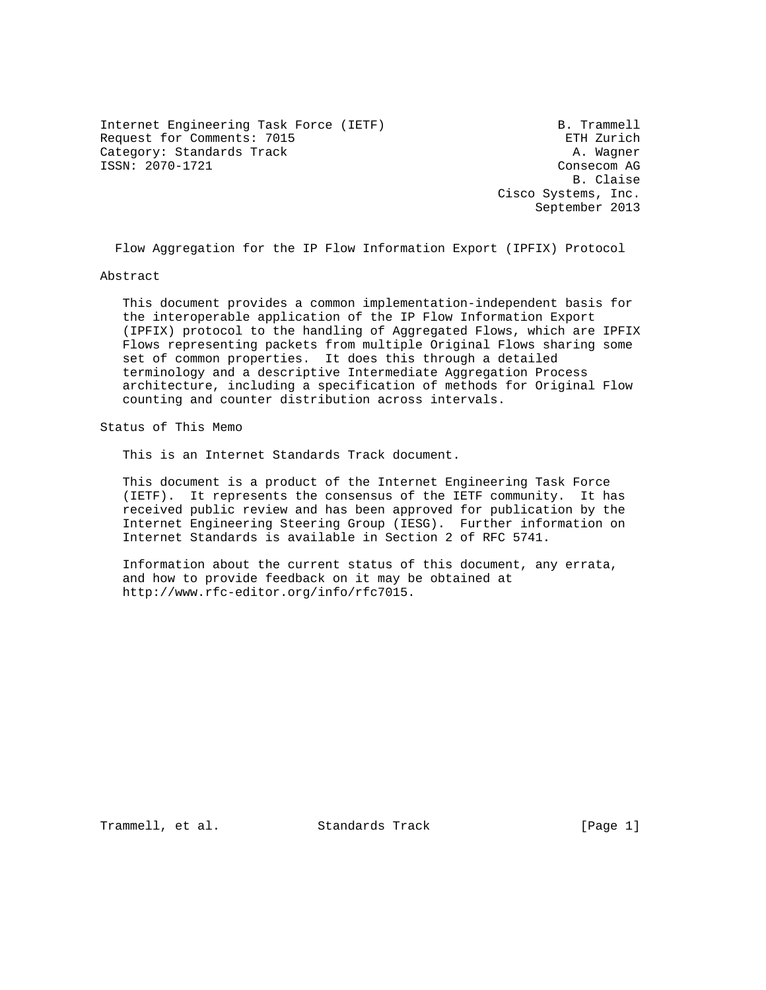Internet Engineering Task Force (IETF) B. Trammell Request for Comments: 7015 ETH Zurich Category: Standards Track A. Wagner ISSN: 2070-1721 Consecom AG

 B. Claise Cisco Systems, Inc. September 2013

Flow Aggregation for the IP Flow Information Export (IPFIX) Protocol

Abstract

 This document provides a common implementation-independent basis for the interoperable application of the IP Flow Information Export (IPFIX) protocol to the handling of Aggregated Flows, which are IPFIX Flows representing packets from multiple Original Flows sharing some set of common properties. It does this through a detailed terminology and a descriptive Intermediate Aggregation Process architecture, including a specification of methods for Original Flow counting and counter distribution across intervals.

Status of This Memo

This is an Internet Standards Track document.

 This document is a product of the Internet Engineering Task Force (IETF). It represents the consensus of the IETF community. It has received public review and has been approved for publication by the Internet Engineering Steering Group (IESG). Further information on Internet Standards is available in Section 2 of RFC 5741.

 Information about the current status of this document, any errata, and how to provide feedback on it may be obtained at http://www.rfc-editor.org/info/rfc7015.

Trammell, et al. Standards Track [Page 1]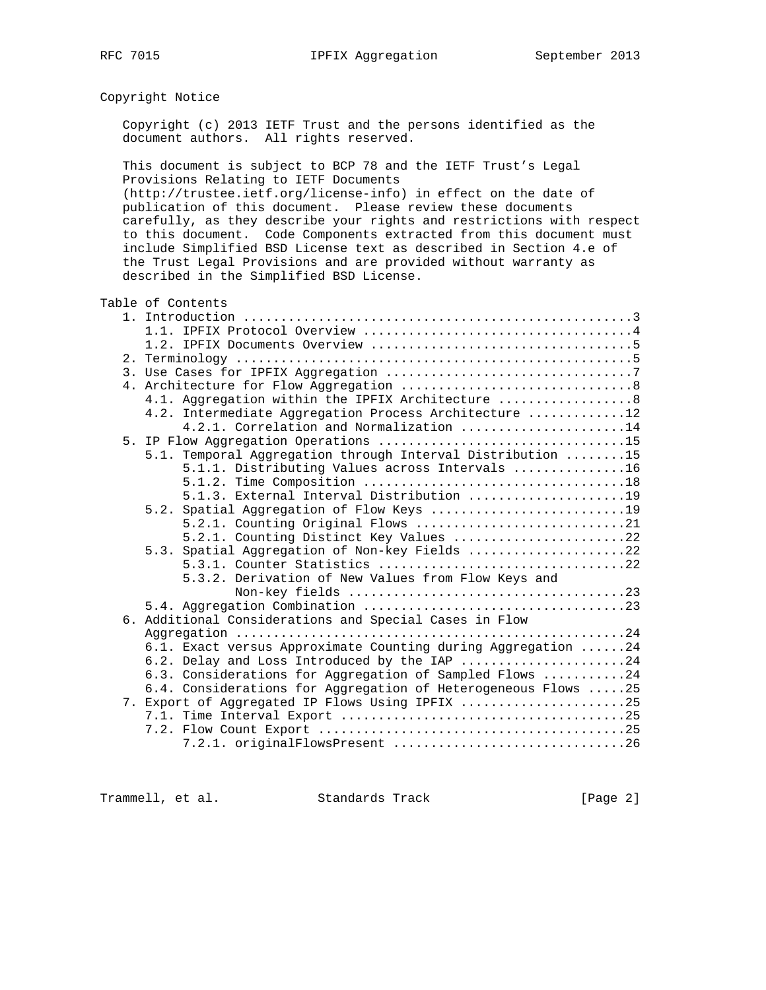## Copyright Notice

 Copyright (c) 2013 IETF Trust and the persons identified as the document authors. All rights reserved.

 This document is subject to BCP 78 and the IETF Trust's Legal Provisions Relating to IETF Documents (http://trustee.ietf.org/license-info) in effect on the date of publication of this document. Please review these documents carefully, as they describe your rights and restrictions with respect to this document. Code Components extracted from this document must include Simplified BSD License text as described in Section 4.e of the Trust Legal Provisions and are provided without warranty as

Table of Contents

described in the Simplified BSD License.

| 4.1. Aggregation within the IPFIX Architecture  8             |
|---------------------------------------------------------------|
| 4.2. Intermediate Aggregation Process Architecture 12         |
| $4.2.1.$ Correlation and Normalization 14                     |
|                                                               |
| 5.1. Temporal Aggregation through Interval Distribution 15    |
| 5.1.1. Distributing Values across Intervals 16                |
|                                                               |
| 5.1.3. External Interval Distribution 19                      |
|                                                               |
| 5.2.1. Counting Original Flows 21                             |
| 5.2.1. Counting Distinct Key Values 22                        |
| 5.3. Spatial Aggregation of Non-key Fields 22                 |
|                                                               |
| 5.3.2. Derivation of New Values from Flow Keys and            |
|                                                               |
|                                                               |
| 6. Additional Considerations and Special Cases in Flow        |
|                                                               |
| 6.1. Exact versus Approximate Counting during Aggregation 24  |
| 6.2. Delay and Loss Introduced by the IAP 24                  |
| 6.3. Considerations for Aggregation of Sampled Flows 24       |
| 6.4. Considerations for Aggregation of Heterogeneous Flows 25 |
| 7. Export of Aggregated IP Flows Using IPFIX 25               |
|                                                               |
|                                                               |
| 7.2.1. originalFlowsPresent 26                                |

Trammell, et al. Standards Track [Page 2]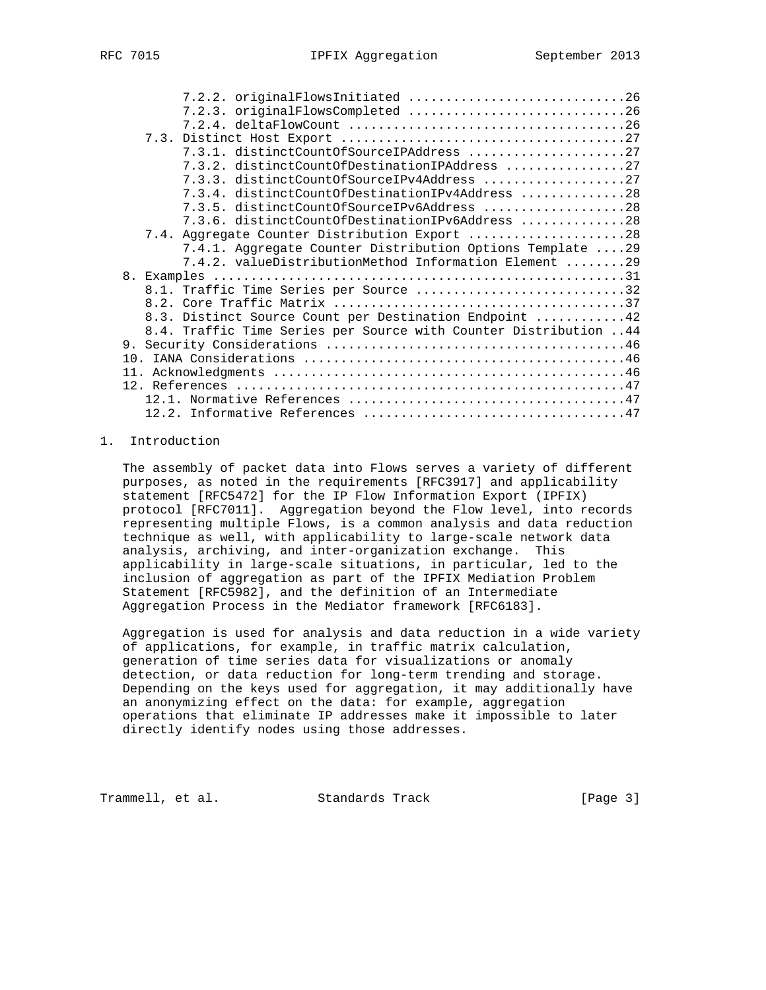| 7.2.3. originalFlowsCompleted 26<br>7.3.1. distinctCountOfSourceIPAddress 27<br>7.3.2. distinctCountOfDestinationIPAddress 27<br>7.3.3. distinctCountOfSourceIPv4Address 27<br>7.3.4. distinctCountOfDestinationIPv4Address 28<br>7.3.5. distinctCountOfSourceIPv6Address 28<br>7.3.6. distinctCountOfDestinationIPv6Address 28<br>7.4. Aggregate Counter Distribution Export 28<br>7.4.1. Aggregate Counter Distribution Options Template 29<br>7.4.2. valueDistributionMethod Information Element 29<br>8.1. Traffic Time Series per Source 32<br>8.3. Distinct Source Count per Destination Endpoint 42<br>8.4. Traffic Time Series per Source with Counter Distribution 44 | 7.2.2. originalFlowsInitiated 26 |
|--------------------------------------------------------------------------------------------------------------------------------------------------------------------------------------------------------------------------------------------------------------------------------------------------------------------------------------------------------------------------------------------------------------------------------------------------------------------------------------------------------------------------------------------------------------------------------------------------------------------------------------------------------------------------------|----------------------------------|
|                                                                                                                                                                                                                                                                                                                                                                                                                                                                                                                                                                                                                                                                                |                                  |
|                                                                                                                                                                                                                                                                                                                                                                                                                                                                                                                                                                                                                                                                                |                                  |
|                                                                                                                                                                                                                                                                                                                                                                                                                                                                                                                                                                                                                                                                                |                                  |
|                                                                                                                                                                                                                                                                                                                                                                                                                                                                                                                                                                                                                                                                                |                                  |
|                                                                                                                                                                                                                                                                                                                                                                                                                                                                                                                                                                                                                                                                                |                                  |
|                                                                                                                                                                                                                                                                                                                                                                                                                                                                                                                                                                                                                                                                                |                                  |
|                                                                                                                                                                                                                                                                                                                                                                                                                                                                                                                                                                                                                                                                                |                                  |
|                                                                                                                                                                                                                                                                                                                                                                                                                                                                                                                                                                                                                                                                                |                                  |
|                                                                                                                                                                                                                                                                                                                                                                                                                                                                                                                                                                                                                                                                                |                                  |
|                                                                                                                                                                                                                                                                                                                                                                                                                                                                                                                                                                                                                                                                                |                                  |
|                                                                                                                                                                                                                                                                                                                                                                                                                                                                                                                                                                                                                                                                                |                                  |
|                                                                                                                                                                                                                                                                                                                                                                                                                                                                                                                                                                                                                                                                                |                                  |
|                                                                                                                                                                                                                                                                                                                                                                                                                                                                                                                                                                                                                                                                                |                                  |
|                                                                                                                                                                                                                                                                                                                                                                                                                                                                                                                                                                                                                                                                                |                                  |
|                                                                                                                                                                                                                                                                                                                                                                                                                                                                                                                                                                                                                                                                                |                                  |
|                                                                                                                                                                                                                                                                                                                                                                                                                                                                                                                                                                                                                                                                                |                                  |
|                                                                                                                                                                                                                                                                                                                                                                                                                                                                                                                                                                                                                                                                                |                                  |
|                                                                                                                                                                                                                                                                                                                                                                                                                                                                                                                                                                                                                                                                                |                                  |
|                                                                                                                                                                                                                                                                                                                                                                                                                                                                                                                                                                                                                                                                                |                                  |
|                                                                                                                                                                                                                                                                                                                                                                                                                                                                                                                                                                                                                                                                                |                                  |
|                                                                                                                                                                                                                                                                                                                                                                                                                                                                                                                                                                                                                                                                                |                                  |
|                                                                                                                                                                                                                                                                                                                                                                                                                                                                                                                                                                                                                                                                                |                                  |
|                                                                                                                                                                                                                                                                                                                                                                                                                                                                                                                                                                                                                                                                                |                                  |
|                                                                                                                                                                                                                                                                                                                                                                                                                                                                                                                                                                                                                                                                                |                                  |
|                                                                                                                                                                                                                                                                                                                                                                                                                                                                                                                                                                                                                                                                                |                                  |

### 1. Introduction

 The assembly of packet data into Flows serves a variety of different purposes, as noted in the requirements [RFC3917] and applicability statement [RFC5472] for the IP Flow Information Export (IPFIX) protocol [RFC7011]. Aggregation beyond the Flow level, into records representing multiple Flows, is a common analysis and data reduction technique as well, with applicability to large-scale network data analysis, archiving, and inter-organization exchange. This applicability in large-scale situations, in particular, led to the inclusion of aggregation as part of the IPFIX Mediation Problem Statement [RFC5982], and the definition of an Intermediate Aggregation Process in the Mediator framework [RFC6183].

 Aggregation is used for analysis and data reduction in a wide variety of applications, for example, in traffic matrix calculation, generation of time series data for visualizations or anomaly detection, or data reduction for long-term trending and storage. Depending on the keys used for aggregation, it may additionally have an anonymizing effect on the data: for example, aggregation operations that eliminate IP addresses make it impossible to later directly identify nodes using those addresses.

Trammell, et al. Standards Track [Page 3]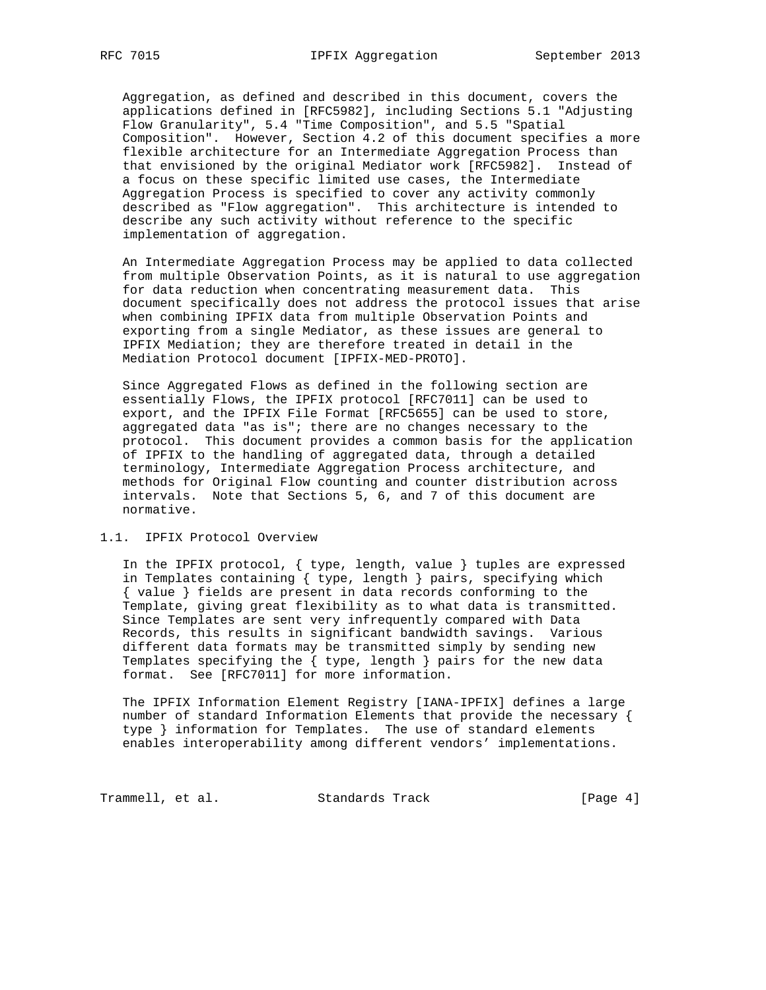Aggregation, as defined and described in this document, covers the applications defined in [RFC5982], including Sections 5.1 "Adjusting Flow Granularity", 5.4 "Time Composition", and 5.5 "Spatial Composition". However, Section 4.2 of this document specifies a more flexible architecture for an Intermediate Aggregation Process than that envisioned by the original Mediator work [RFC5982]. Instead of a focus on these specific limited use cases, the Intermediate Aggregation Process is specified to cover any activity commonly described as "Flow aggregation". This architecture is intended to describe any such activity without reference to the specific implementation of aggregation.

 An Intermediate Aggregation Process may be applied to data collected from multiple Observation Points, as it is natural to use aggregation for data reduction when concentrating measurement data. This document specifically does not address the protocol issues that arise when combining IPFIX data from multiple Observation Points and exporting from a single Mediator, as these issues are general to IPFIX Mediation; they are therefore treated in detail in the Mediation Protocol document [IPFIX-MED-PROTO].

 Since Aggregated Flows as defined in the following section are essentially Flows, the IPFIX protocol [RFC7011] can be used to export, and the IPFIX File Format [RFC5655] can be used to store, aggregated data "as is"; there are no changes necessary to the protocol. This document provides a common basis for the application of IPFIX to the handling of aggregated data, through a detailed terminology, Intermediate Aggregation Process architecture, and methods for Original Flow counting and counter distribution across intervals. Note that Sections 5, 6, and 7 of this document are normative.

## 1.1. IPFIX Protocol Overview

 In the IPFIX protocol, { type, length, value } tuples are expressed in Templates containing { type, length } pairs, specifying which { value } fields are present in data records conforming to the Template, giving great flexibility as to what data is transmitted. Since Templates are sent very infrequently compared with Data Records, this results in significant bandwidth savings. Various different data formats may be transmitted simply by sending new Templates specifying the { type, length } pairs for the new data format. See [RFC7011] for more information.

 The IPFIX Information Element Registry [IANA-IPFIX] defines a large number of standard Information Elements that provide the necessary { type } information for Templates. The use of standard elements enables interoperability among different vendors' implementations.

Trammell, et al. Standards Track [Page 4]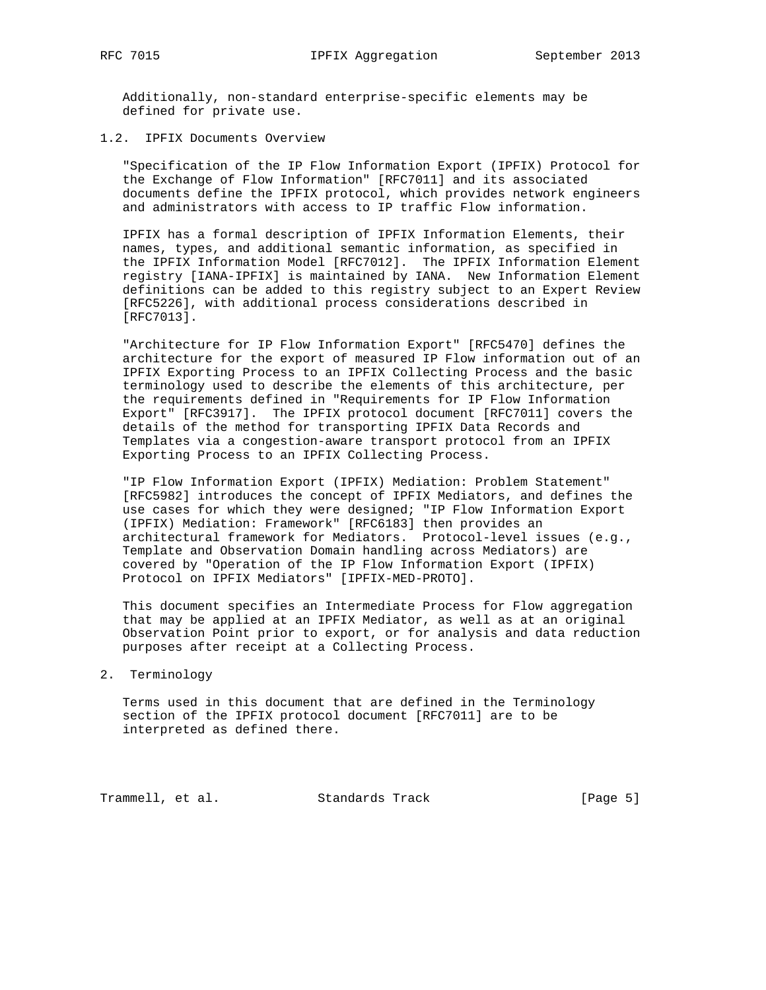Additionally, non-standard enterprise-specific elements may be defined for private use.

## 1.2. IPFIX Documents Overview

 "Specification of the IP Flow Information Export (IPFIX) Protocol for the Exchange of Flow Information" [RFC7011] and its associated documents define the IPFIX protocol, which provides network engineers and administrators with access to IP traffic Flow information.

 IPFIX has a formal description of IPFIX Information Elements, their names, types, and additional semantic information, as specified in the IPFIX Information Model [RFC7012]. The IPFIX Information Element registry [IANA-IPFIX] is maintained by IANA. New Information Element definitions can be added to this registry subject to an Expert Review [RFC5226], with additional process considerations described in [RFC7013].

 "Architecture for IP Flow Information Export" [RFC5470] defines the architecture for the export of measured IP Flow information out of an IPFIX Exporting Process to an IPFIX Collecting Process and the basic terminology used to describe the elements of this architecture, per the requirements defined in "Requirements for IP Flow Information Export" [RFC3917]. The IPFIX protocol document [RFC7011] covers the details of the method for transporting IPFIX Data Records and Templates via a congestion-aware transport protocol from an IPFIX Exporting Process to an IPFIX Collecting Process.

 "IP Flow Information Export (IPFIX) Mediation: Problem Statement" [RFC5982] introduces the concept of IPFIX Mediators, and defines the use cases for which they were designed; "IP Flow Information Export (IPFIX) Mediation: Framework" [RFC6183] then provides an architectural framework for Mediators. Protocol-level issues (e.g., Template and Observation Domain handling across Mediators) are covered by "Operation of the IP Flow Information Export (IPFIX) Protocol on IPFIX Mediators" [IPFIX-MED-PROTO].

 This document specifies an Intermediate Process for Flow aggregation that may be applied at an IPFIX Mediator, as well as at an original Observation Point prior to export, or for analysis and data reduction purposes after receipt at a Collecting Process.

#### 2. Terminology

 Terms used in this document that are defined in the Terminology section of the IPFIX protocol document [RFC7011] are to be interpreted as defined there.

Trammell, et al. Standards Track [Page 5]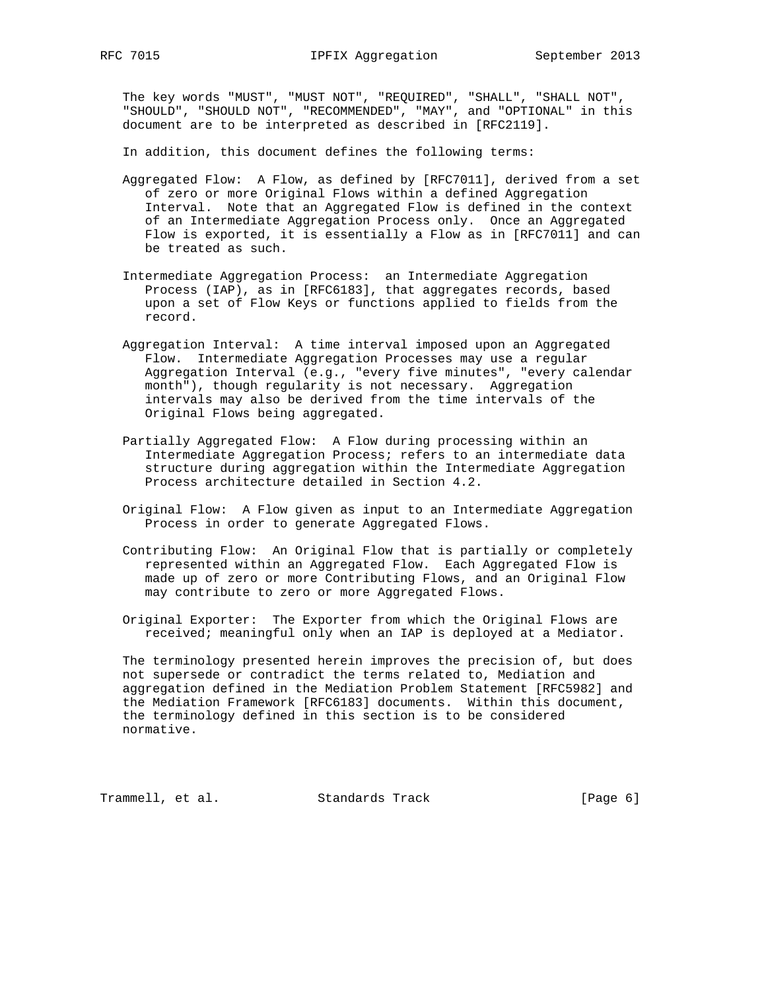The key words "MUST", "MUST NOT", "REQUIRED", "SHALL", "SHALL NOT", "SHOULD", "SHOULD NOT", "RECOMMENDED", "MAY", and "OPTIONAL" in this document are to be interpreted as described in [RFC2119].

In addition, this document defines the following terms:

- Aggregated Flow: A Flow, as defined by [RFC7011], derived from a set of zero or more Original Flows within a defined Aggregation Interval. Note that an Aggregated Flow is defined in the context of an Intermediate Aggregation Process only. Once an Aggregated Flow is exported, it is essentially a Flow as in [RFC7011] and can be treated as such.
- Intermediate Aggregation Process: an Intermediate Aggregation Process (IAP), as in [RFC6183], that aggregates records, based upon a set of Flow Keys or functions applied to fields from the record.
	- Aggregation Interval: A time interval imposed upon an Aggregated Flow. Intermediate Aggregation Processes may use a regular Aggregation Interval (e.g., "every five minutes", "every calendar month"), though regularity is not necessary. Aggregation intervals may also be derived from the time intervals of the Original Flows being aggregated.
	- Partially Aggregated Flow: A Flow during processing within an Intermediate Aggregation Process; refers to an intermediate data structure during aggregation within the Intermediate Aggregation Process architecture detailed in Section 4.2.
	- Original Flow: A Flow given as input to an Intermediate Aggregation Process in order to generate Aggregated Flows.
	- Contributing Flow: An Original Flow that is partially or completely represented within an Aggregated Flow. Each Aggregated Flow is made up of zero or more Contributing Flows, and an Original Flow may contribute to zero or more Aggregated Flows.
	- Original Exporter: The Exporter from which the Original Flows are received; meaningful only when an IAP is deployed at a Mediator.

 The terminology presented herein improves the precision of, but does not supersede or contradict the terms related to, Mediation and aggregation defined in the Mediation Problem Statement [RFC5982] and the Mediation Framework [RFC6183] documents. Within this document, the terminology defined in this section is to be considered normative.

Trammell, et al. Standards Track [Page 6]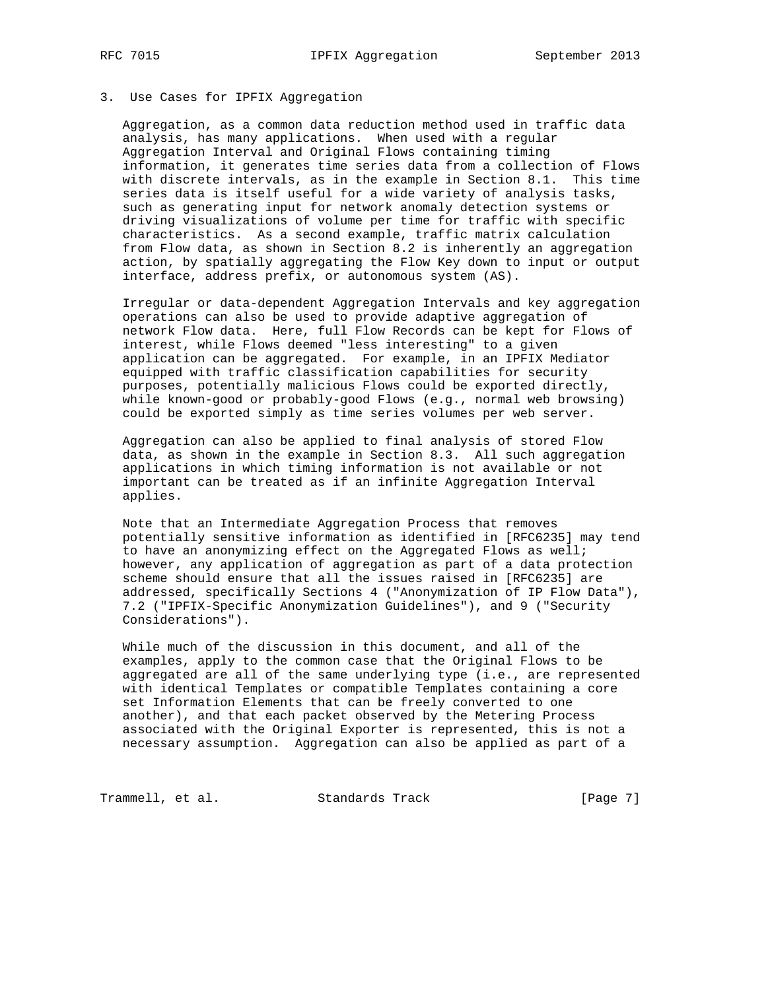### 3. Use Cases for IPFIX Aggregation

 Aggregation, as a common data reduction method used in traffic data analysis, has many applications. When used with a regular Aggregation Interval and Original Flows containing timing information, it generates time series data from a collection of Flows with discrete intervals, as in the example in Section 8.1. This time series data is itself useful for a wide variety of analysis tasks, such as generating input for network anomaly detection systems or driving visualizations of volume per time for traffic with specific characteristics. As a second example, traffic matrix calculation from Flow data, as shown in Section 8.2 is inherently an aggregation action, by spatially aggregating the Flow Key down to input or output interface, address prefix, or autonomous system (AS).

 Irregular or data-dependent Aggregation Intervals and key aggregation operations can also be used to provide adaptive aggregation of network Flow data. Here, full Flow Records can be kept for Flows of interest, while Flows deemed "less interesting" to a given application can be aggregated. For example, in an IPFIX Mediator equipped with traffic classification capabilities for security purposes, potentially malicious Flows could be exported directly, while known-good or probably-good Flows (e.g., normal web browsing) could be exported simply as time series volumes per web server.

 Aggregation can also be applied to final analysis of stored Flow data, as shown in the example in Section 8.3. All such aggregation applications in which timing information is not available or not important can be treated as if an infinite Aggregation Interval applies.

 Note that an Intermediate Aggregation Process that removes potentially sensitive information as identified in [RFC6235] may tend to have an anonymizing effect on the Aggregated Flows as well; however, any application of aggregation as part of a data protection scheme should ensure that all the issues raised in [RFC6235] are addressed, specifically Sections 4 ("Anonymization of IP Flow Data"), 7.2 ("IPFIX-Specific Anonymization Guidelines"), and 9 ("Security Considerations").

 While much of the discussion in this document, and all of the examples, apply to the common case that the Original Flows to be aggregated are all of the same underlying type (i.e., are represented with identical Templates or compatible Templates containing a core set Information Elements that can be freely converted to one another), and that each packet observed by the Metering Process associated with the Original Exporter is represented, this is not a necessary assumption. Aggregation can also be applied as part of a

Trammell, et al. Standards Track [Page 7]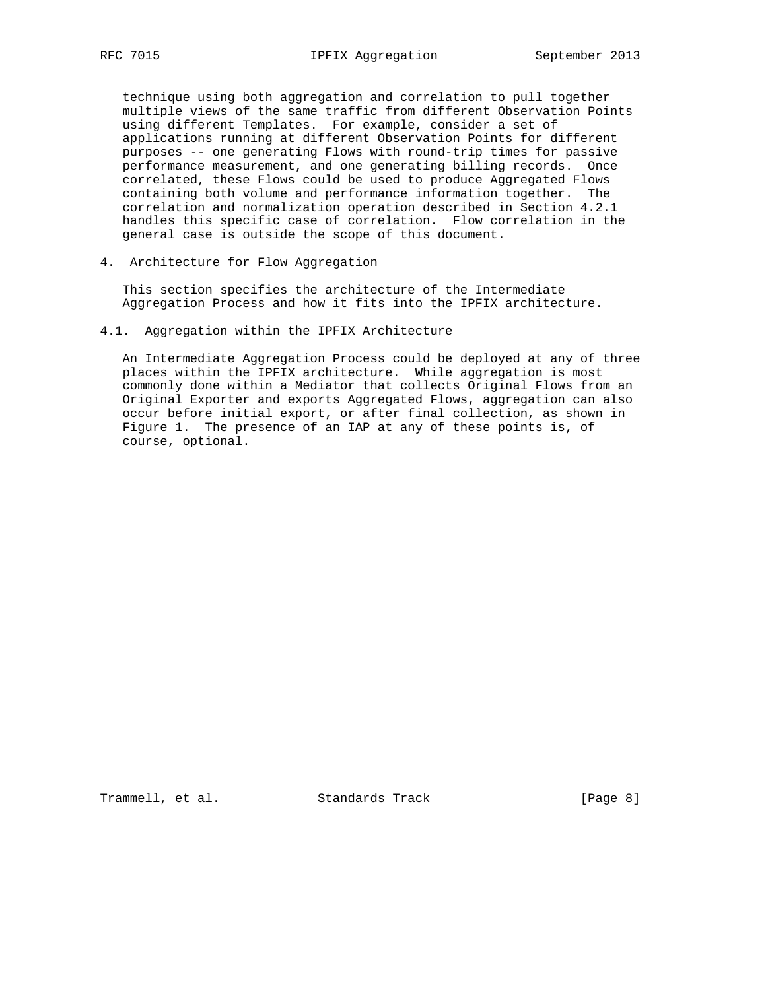technique using both aggregation and correlation to pull together multiple views of the same traffic from different Observation Points using different Templates. For example, consider a set of applications running at different Observation Points for different purposes -- one generating Flows with round-trip times for passive performance measurement, and one generating billing records. Once correlated, these Flows could be used to produce Aggregated Flows containing both volume and performance information together. The correlation and normalization operation described in Section 4.2.1 handles this specific case of correlation. Flow correlation in the general case is outside the scope of this document.

4. Architecture for Flow Aggregation

 This section specifies the architecture of the Intermediate Aggregation Process and how it fits into the IPFIX architecture.

4.1. Aggregation within the IPFIX Architecture

 An Intermediate Aggregation Process could be deployed at any of three places within the IPFIX architecture. While aggregation is most commonly done within a Mediator that collects Original Flows from an Original Exporter and exports Aggregated Flows, aggregation can also occur before initial export, or after final collection, as shown in Figure 1. The presence of an IAP at any of these points is, of course, optional.

Trammell, et al. Standards Track [Page 8]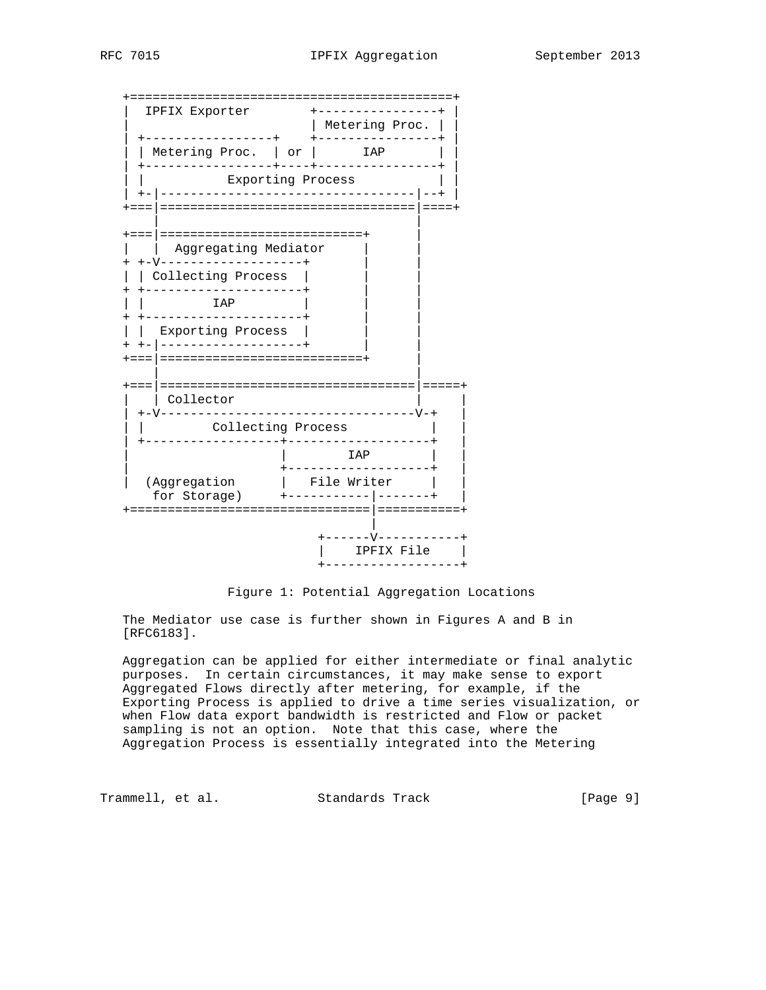

Figure 1: Potential Aggregation Locations

 The Mediator use case is further shown in Figures A and B in [RFC6183].

 Aggregation can be applied for either intermediate or final analytic purposes. In certain circumstances, it may make sense to export Aggregated Flows directly after metering, for example, if the Exporting Process is applied to drive a time series visualization, or when Flow data export bandwidth is restricted and Flow or packet sampling is not an option. Note that this case, where the Aggregation Process is essentially integrated into the Metering

Trammell, et al. Standards Track [Page 9]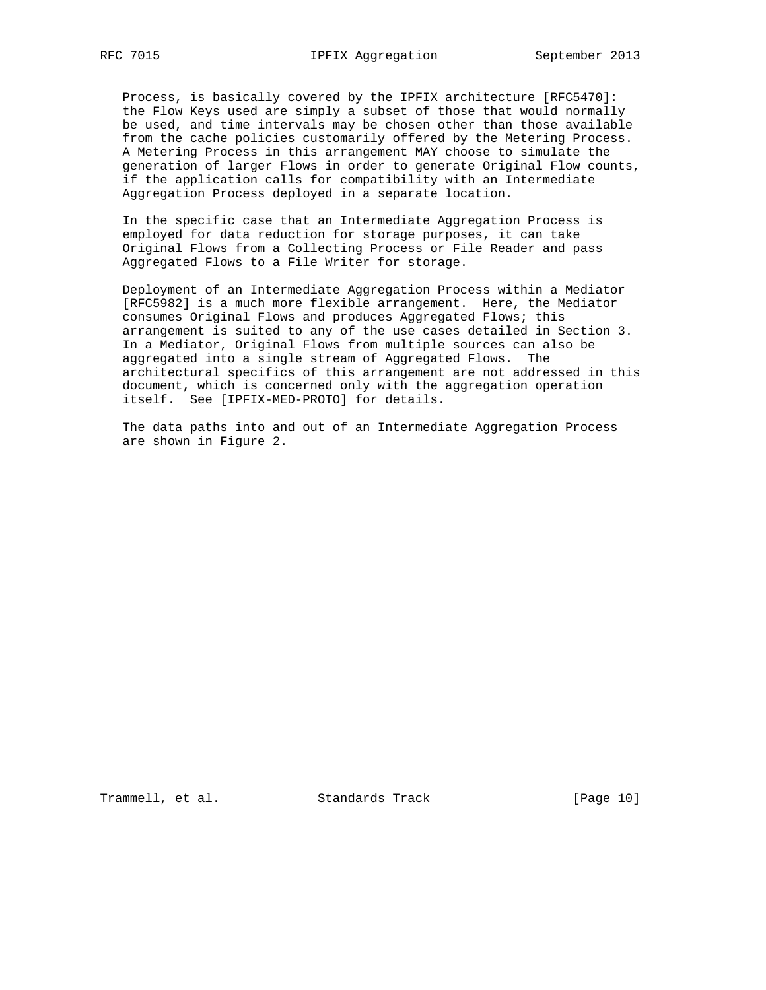Process, is basically covered by the IPFIX architecture [RFC5470]: the Flow Keys used are simply a subset of those that would normally be used, and time intervals may be chosen other than those available from the cache policies customarily offered by the Metering Process. A Metering Process in this arrangement MAY choose to simulate the generation of larger Flows in order to generate Original Flow counts, if the application calls for compatibility with an Intermediate Aggregation Process deployed in a separate location.

 In the specific case that an Intermediate Aggregation Process is employed for data reduction for storage purposes, it can take Original Flows from a Collecting Process or File Reader and pass Aggregated Flows to a File Writer for storage.

 Deployment of an Intermediate Aggregation Process within a Mediator [RFC5982] is a much more flexible arrangement. Here, the Mediator consumes Original Flows and produces Aggregated Flows; this arrangement is suited to any of the use cases detailed in Section 3. In a Mediator, Original Flows from multiple sources can also be aggregated into a single stream of Aggregated Flows. The architectural specifics of this arrangement are not addressed in this document, which is concerned only with the aggregation operation itself. See [IPFIX-MED-PROTO] for details.

 The data paths into and out of an Intermediate Aggregation Process are shown in Figure 2.

Trammell, et al. Standards Track [Page 10]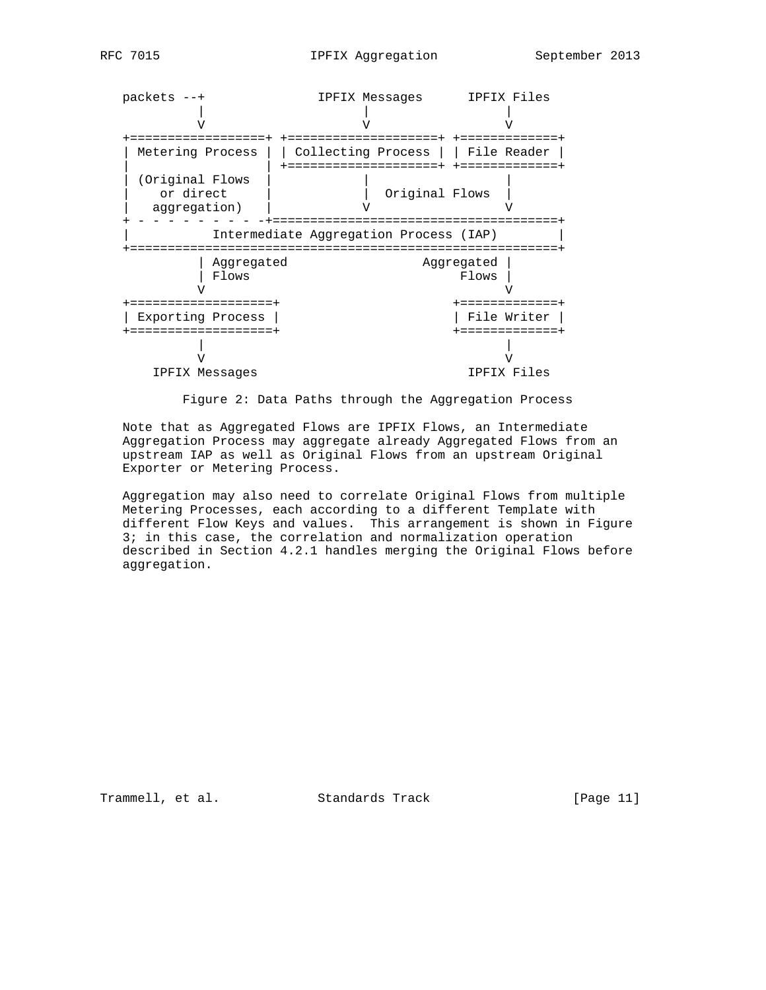

Figure 2: Data Paths through the Aggregation Process

 Note that as Aggregated Flows are IPFIX Flows, an Intermediate Aggregation Process may aggregate already Aggregated Flows from an upstream IAP as well as Original Flows from an upstream Original Exporter or Metering Process.

 Aggregation may also need to correlate Original Flows from multiple Metering Processes, each according to a different Template with different Flow Keys and values. This arrangement is shown in Figure 3; in this case, the correlation and normalization operation described in Section 4.2.1 handles merging the Original Flows before aggregation.

Trammell, et al. Standards Track [Page 11]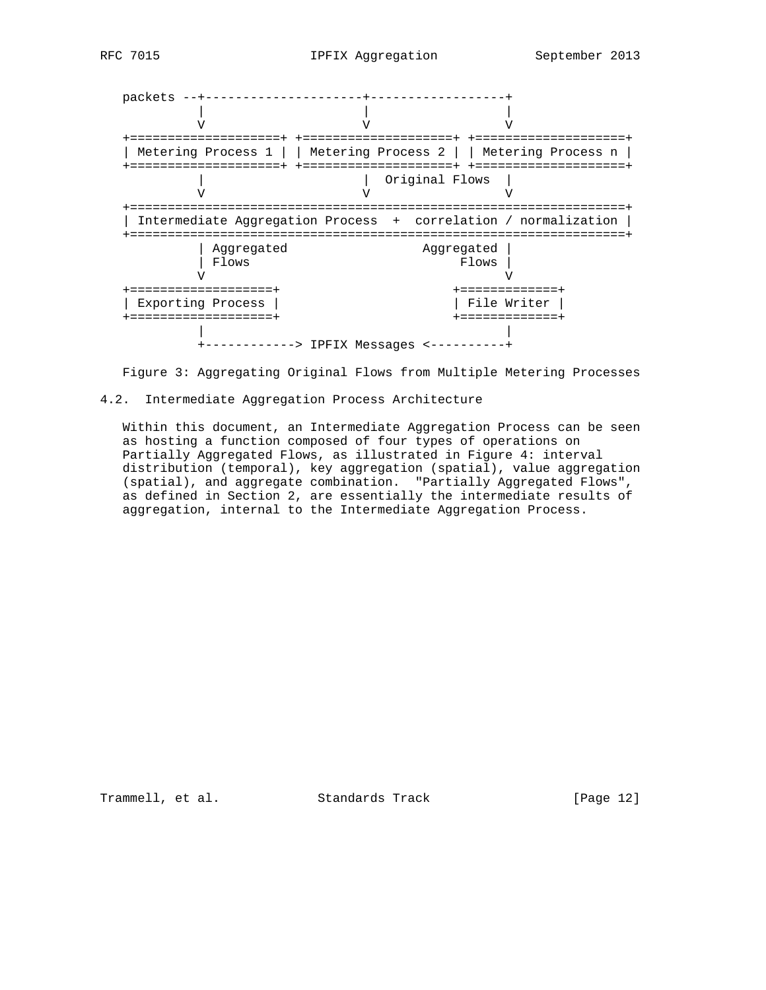packets --+---------------------+------------------+ | | | V V V +====================+ +====================+ +====================+ | Metering Process 1 | | Metering Process 2 | | Metering Process n | +====================+ +====================+ +====================+ | | Original Flows | V V V +==================================================================+ | Intermediate Aggregation Process + correlation / normalization | +==================================================================+ | Aggregated Aggregated | | Flows Flows Flows Flows Flows Flows Flows Flows Flows Flows Flows Flows Flows Flows Flows  $\sqrt{V}$  V V +===================+ +=============+ | Exporting Process | | File Writer | +===================+ +=============+ | | +------------> IPFIX Messages <----------+

Figure 3: Aggregating Original Flows from Multiple Metering Processes

#### 4.2. Intermediate Aggregation Process Architecture

 Within this document, an Intermediate Aggregation Process can be seen as hosting a function composed of four types of operations on Partially Aggregated Flows, as illustrated in Figure 4: interval distribution (temporal), key aggregation (spatial), value aggregation (spatial), and aggregate combination. "Partially Aggregated Flows", as defined in Section 2, are essentially the intermediate results of aggregation, internal to the Intermediate Aggregation Process.

Trammell, et al. Standards Track [Page 12]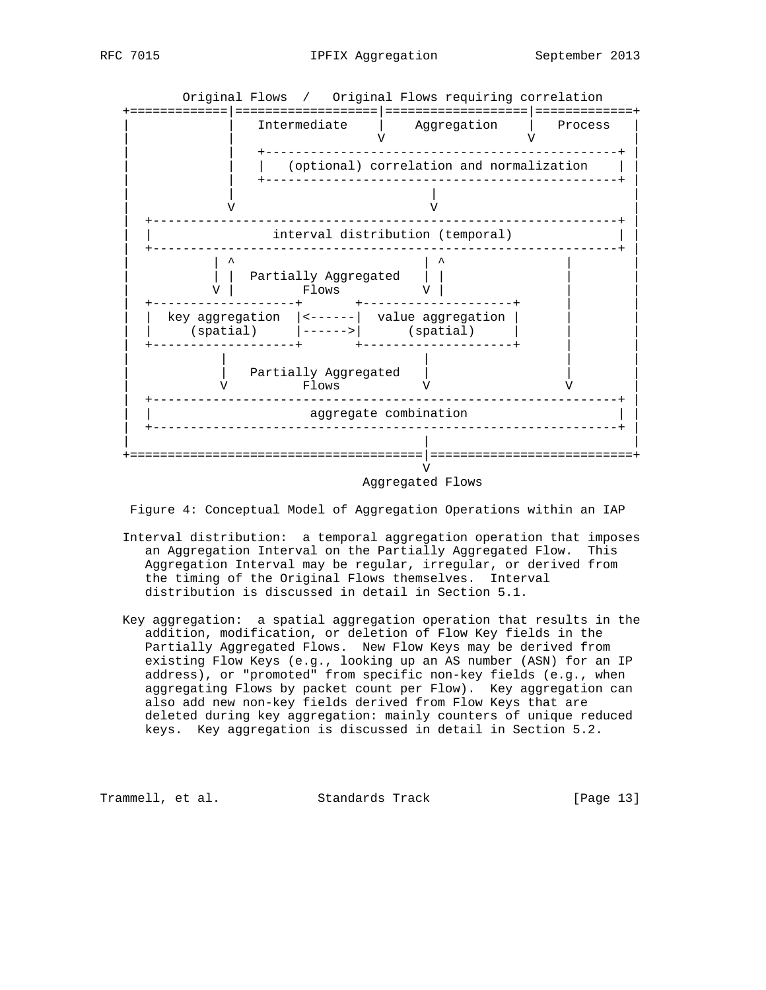



Figure 4: Conceptual Model of Aggregation Operations within an IAP

- Interval distribution: a temporal aggregation operation that imposes an Aggregation Interval on the Partially Aggregated Flow. This Aggregation Interval may be regular, irregular, or derived from the timing of the Original Flows themselves. Interval distribution is discussed in detail in Section 5.1.
- Key aggregation: a spatial aggregation operation that results in the addition, modification, or deletion of Flow Key fields in the Partially Aggregated Flows. New Flow Keys may be derived from existing Flow Keys (e.g., looking up an AS number (ASN) for an IP address), or "promoted" from specific non-key fields (e.g., when aggregating Flows by packet count per Flow). Key aggregation can also add new non-key fields derived from Flow Keys that are deleted during key aggregation: mainly counters of unique reduced keys. Key aggregation is discussed in detail in Section 5.2.

Trammell, et al. Standards Track [Page 13]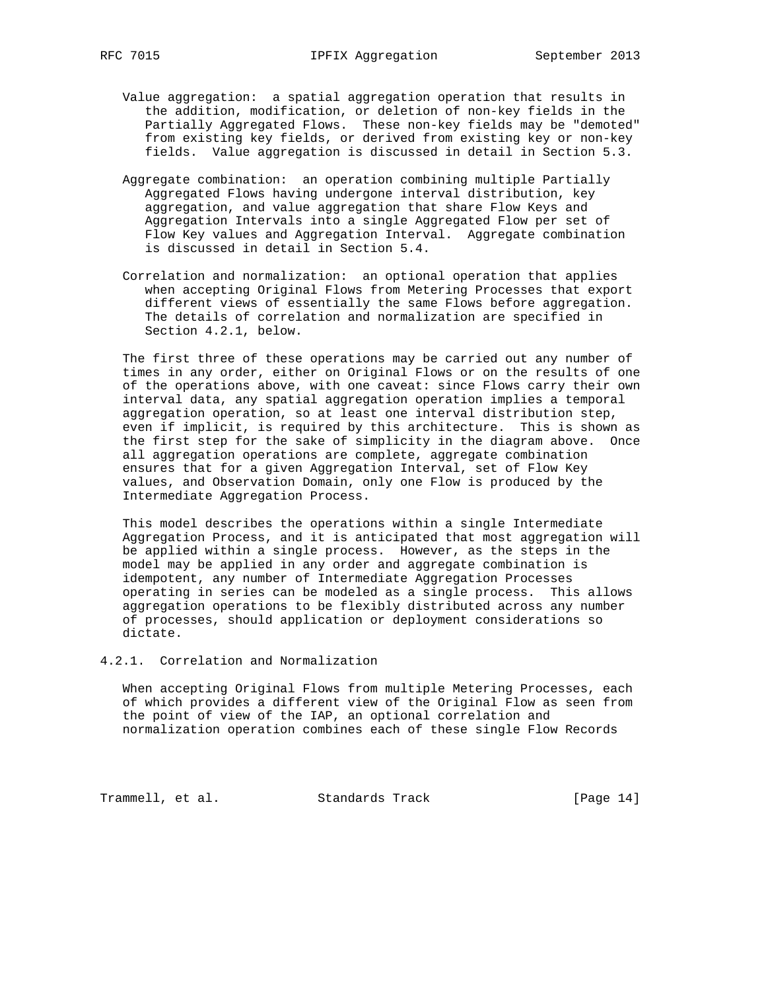- Value aggregation: a spatial aggregation operation that results in the addition, modification, or deletion of non-key fields in the Partially Aggregated Flows. These non-key fields may be "demoted" from existing key fields, or derived from existing key or non-key fields. Value aggregation is discussed in detail in Section 5.3.
	- Aggregate combination: an operation combining multiple Partially Aggregated Flows having undergone interval distribution, key aggregation, and value aggregation that share Flow Keys and Aggregation Intervals into a single Aggregated Flow per set of Flow Key values and Aggregation Interval. Aggregate combination is discussed in detail in Section 5.4.
	- Correlation and normalization: an optional operation that applies when accepting Original Flows from Metering Processes that export different views of essentially the same Flows before aggregation. The details of correlation and normalization are specified in Section 4.2.1, below.

 The first three of these operations may be carried out any number of times in any order, either on Original Flows or on the results of one of the operations above, with one caveat: since Flows carry their own interval data, any spatial aggregation operation implies a temporal aggregation operation, so at least one interval distribution step, even if implicit, is required by this architecture. This is shown as the first step for the sake of simplicity in the diagram above. Once all aggregation operations are complete, aggregate combination ensures that for a given Aggregation Interval, set of Flow Key values, and Observation Domain, only one Flow is produced by the Intermediate Aggregation Process.

 This model describes the operations within a single Intermediate Aggregation Process, and it is anticipated that most aggregation will be applied within a single process. However, as the steps in the model may be applied in any order and aggregate combination is idempotent, any number of Intermediate Aggregation Processes operating in series can be modeled as a single process. This allows aggregation operations to be flexibly distributed across any number of processes, should application or deployment considerations so dictate.

#### 4.2.1. Correlation and Normalization

 When accepting Original Flows from multiple Metering Processes, each of which provides a different view of the Original Flow as seen from the point of view of the IAP, an optional correlation and normalization operation combines each of these single Flow Records

Trammell, et al. Standards Track [Page 14]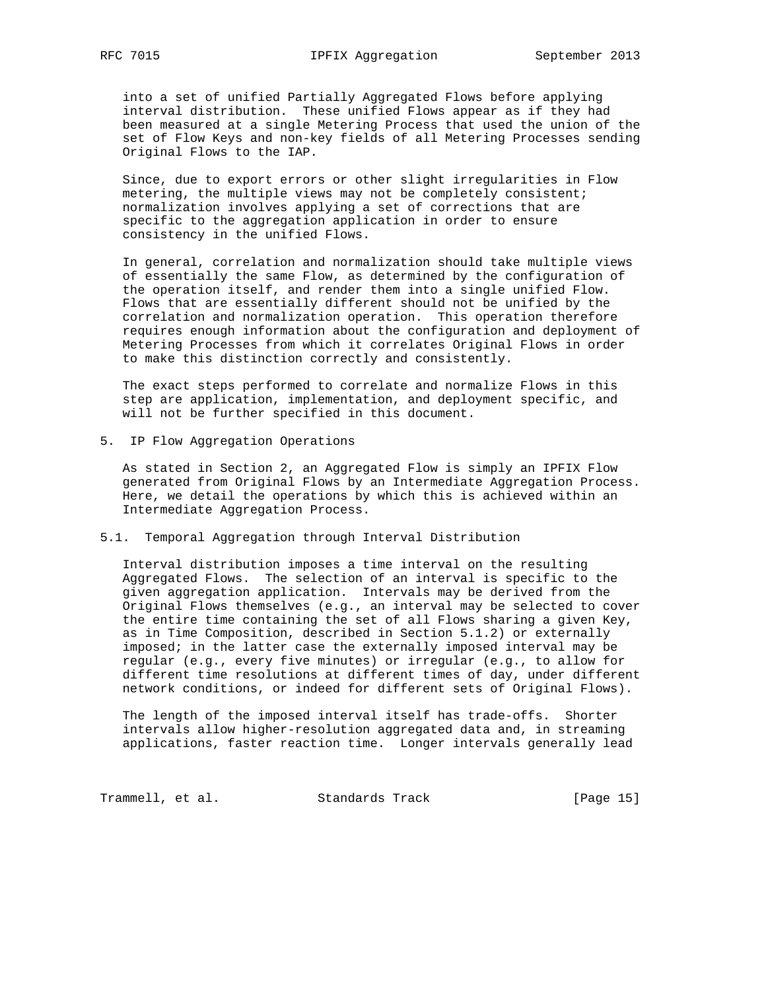into a set of unified Partially Aggregated Flows before applying interval distribution. These unified Flows appear as if they had been measured at a single Metering Process that used the union of the set of Flow Keys and non-key fields of all Metering Processes sending Original Flows to the IAP.

 Since, due to export errors or other slight irregularities in Flow metering, the multiple views may not be completely consistent; normalization involves applying a set of corrections that are specific to the aggregation application in order to ensure consistency in the unified Flows.

 In general, correlation and normalization should take multiple views of essentially the same Flow, as determined by the configuration of the operation itself, and render them into a single unified Flow. Flows that are essentially different should not be unified by the correlation and normalization operation. This operation therefore requires enough information about the configuration and deployment of Metering Processes from which it correlates Original Flows in order to make this distinction correctly and consistently.

 The exact steps performed to correlate and normalize Flows in this step are application, implementation, and deployment specific, and will not be further specified in this document.

5. IP Flow Aggregation Operations

 As stated in Section 2, an Aggregated Flow is simply an IPFIX Flow generated from Original Flows by an Intermediate Aggregation Process. Here, we detail the operations by which this is achieved within an Intermediate Aggregation Process.

#### 5.1. Temporal Aggregation through Interval Distribution

 Interval distribution imposes a time interval on the resulting Aggregated Flows. The selection of an interval is specific to the given aggregation application. Intervals may be derived from the Original Flows themselves (e.g., an interval may be selected to cover the entire time containing the set of all Flows sharing a given Key, as in Time Composition, described in Section 5.1.2) or externally imposed; in the latter case the externally imposed interval may be regular (e.g., every five minutes) or irregular (e.g., to allow for different time resolutions at different times of day, under different network conditions, or indeed for different sets of Original Flows).

 The length of the imposed interval itself has trade-offs. Shorter intervals allow higher-resolution aggregated data and, in streaming applications, faster reaction time. Longer intervals generally lead

Trammell, et al. Standards Track [Page 15]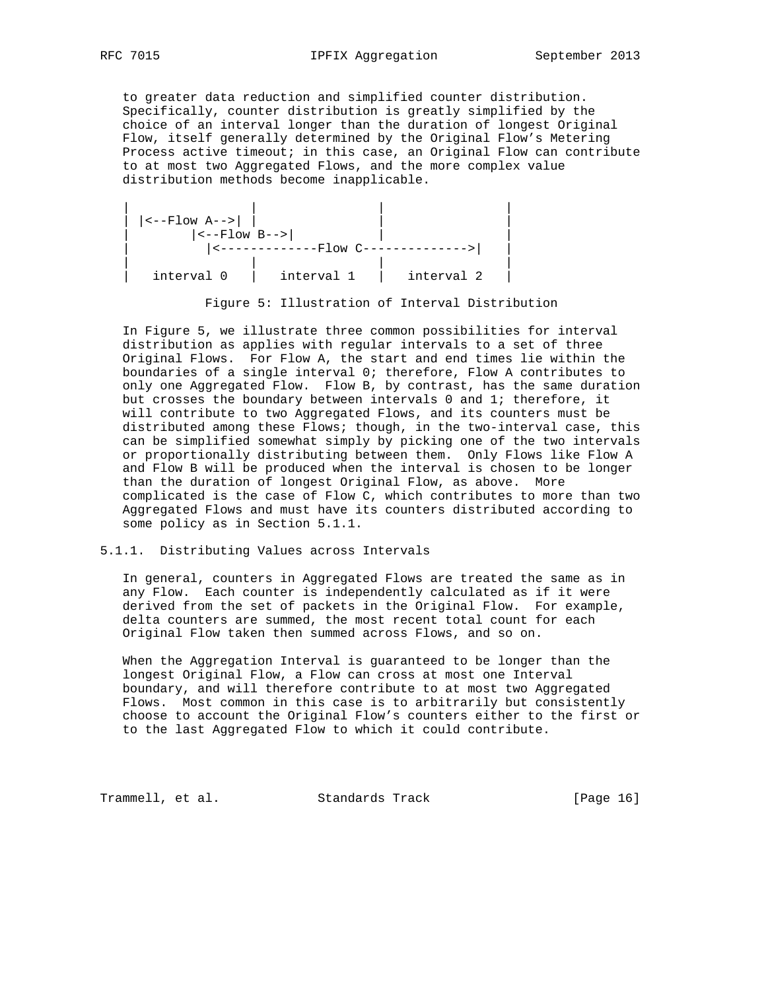to greater data reduction and simplified counter distribution. Specifically, counter distribution is greatly simplified by the choice of an interval longer than the duration of longest Original Flow, itself generally determined by the Original Flow's Metering Process active timeout; in this case, an Original Flow can contribute to at most two Aggregated Flows, and the more complex value distribution methods become inapplicable.



Figure 5: Illustration of Interval Distribution

 In Figure 5, we illustrate three common possibilities for interval distribution as applies with regular intervals to a set of three Original Flows. For Flow A, the start and end times lie within the boundaries of a single interval 0; therefore, Flow A contributes to only one Aggregated Flow. Flow B, by contrast, has the same duration but crosses the boundary between intervals 0 and 1; therefore, it will contribute to two Aggregated Flows, and its counters must be distributed among these Flows; though, in the two-interval case, this can be simplified somewhat simply by picking one of the two intervals or proportionally distributing between them. Only Flows like Flow A and Flow B will be produced when the interval is chosen to be longer than the duration of longest Original Flow, as above. More complicated is the case of Flow C, which contributes to more than two Aggregated Flows and must have its counters distributed according to some policy as in Section 5.1.1.

### 5.1.1. Distributing Values across Intervals

 In general, counters in Aggregated Flows are treated the same as in any Flow. Each counter is independently calculated as if it were derived from the set of packets in the Original Flow. For example, delta counters are summed, the most recent total count for each Original Flow taken then summed across Flows, and so on.

 When the Aggregation Interval is guaranteed to be longer than the longest Original Flow, a Flow can cross at most one Interval boundary, and will therefore contribute to at most two Aggregated Flows. Most common in this case is to arbitrarily but consistently choose to account the Original Flow's counters either to the first or to the last Aggregated Flow to which it could contribute.

Trammell, et al. Standards Track [Page 16]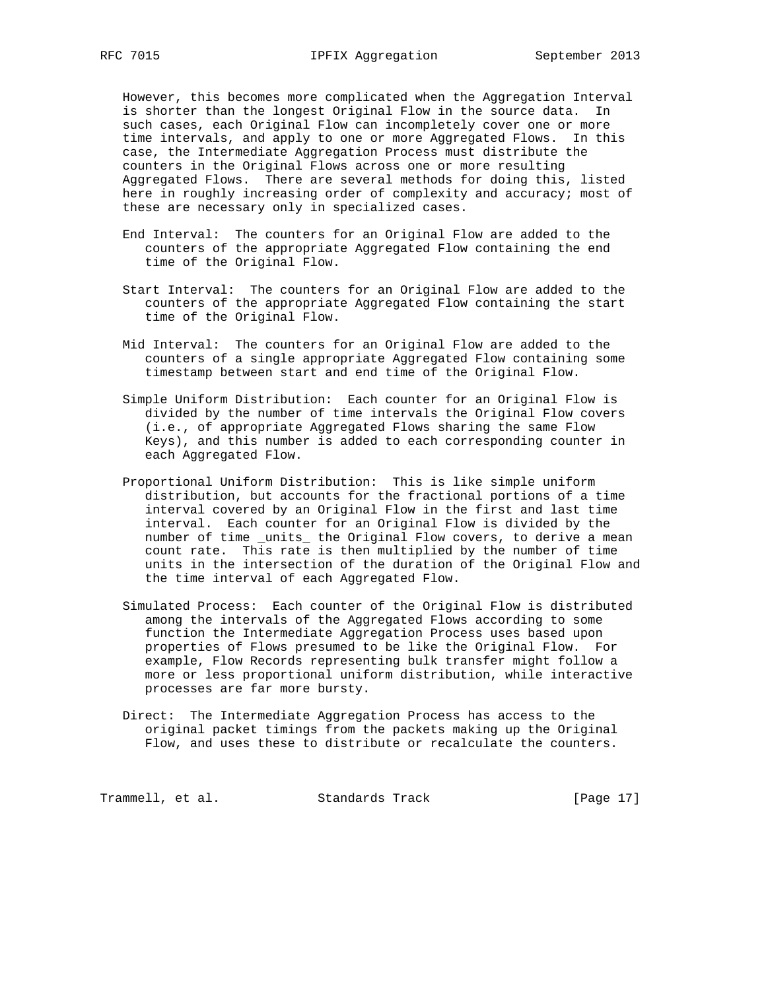However, this becomes more complicated when the Aggregation Interval is shorter than the longest Original Flow in the source data. In such cases, each Original Flow can incompletely cover one or more time intervals, and apply to one or more Aggregated Flows. In this case, the Intermediate Aggregation Process must distribute the counters in the Original Flows across one or more resulting Aggregated Flows. There are several methods for doing this, listed here in roughly increasing order of complexity and accuracy; most of these are necessary only in specialized cases.

- End Interval: The counters for an Original Flow are added to the counters of the appropriate Aggregated Flow containing the end time of the Original Flow.
- Start Interval: The counters for an Original Flow are added to the counters of the appropriate Aggregated Flow containing the start time of the Original Flow.
- Mid Interval: The counters for an Original Flow are added to the counters of a single appropriate Aggregated Flow containing some timestamp between start and end time of the Original Flow.
- Simple Uniform Distribution: Each counter for an Original Flow is divided by the number of time intervals the Original Flow covers (i.e., of appropriate Aggregated Flows sharing the same Flow Keys), and this number is added to each corresponding counter in each Aggregated Flow.
- Proportional Uniform Distribution: This is like simple uniform distribution, but accounts for the fractional portions of a time interval covered by an Original Flow in the first and last time interval. Each counter for an Original Flow is divided by the number of time \_units\_ the Original Flow covers, to derive a mean count rate. This rate is then multiplied by the number of time units in the intersection of the duration of the Original Flow and the time interval of each Aggregated Flow.
- Simulated Process: Each counter of the Original Flow is distributed among the intervals of the Aggregated Flows according to some function the Intermediate Aggregation Process uses based upon properties of Flows presumed to be like the Original Flow. For example, Flow Records representing bulk transfer might follow a more or less proportional uniform distribution, while interactive processes are far more bursty.
- Direct: The Intermediate Aggregation Process has access to the original packet timings from the packets making up the Original Flow, and uses these to distribute or recalculate the counters.

Trammell, et al. Standards Track [Page 17]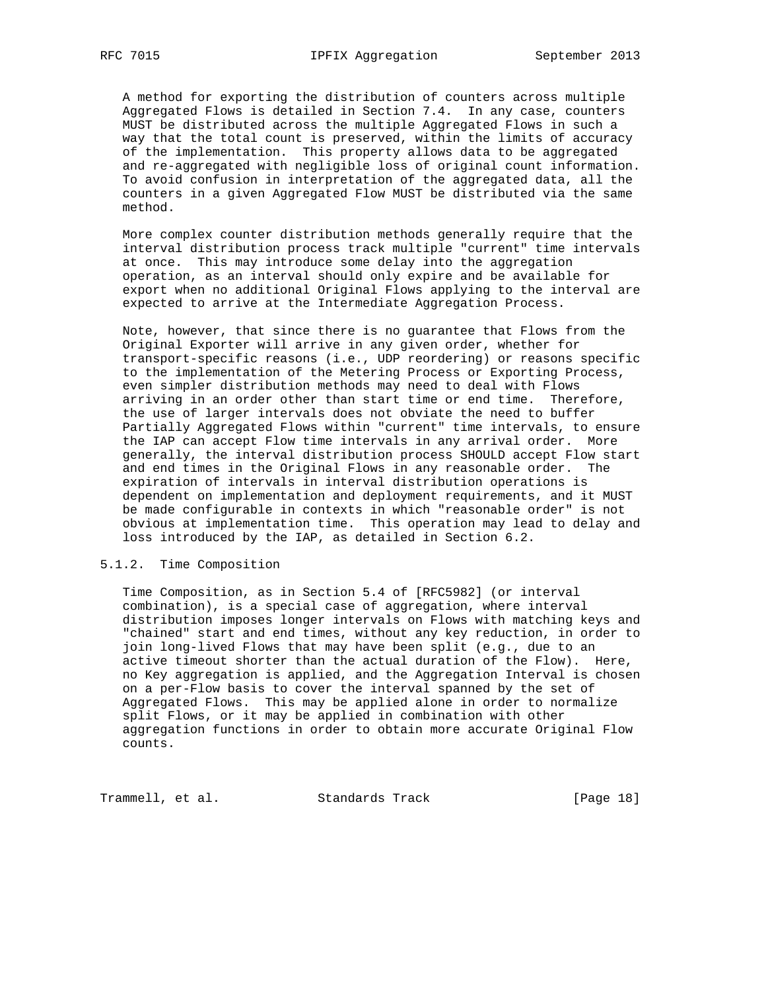A method for exporting the distribution of counters across multiple Aggregated Flows is detailed in Section 7.4. In any case, counters MUST be distributed across the multiple Aggregated Flows in such a way that the total count is preserved, within the limits of accuracy of the implementation. This property allows data to be aggregated and re-aggregated with negligible loss of original count information. To avoid confusion in interpretation of the aggregated data, all the counters in a given Aggregated Flow MUST be distributed via the same method.

 More complex counter distribution methods generally require that the interval distribution process track multiple "current" time intervals at once. This may introduce some delay into the aggregation operation, as an interval should only expire and be available for export when no additional Original Flows applying to the interval are expected to arrive at the Intermediate Aggregation Process.

 Note, however, that since there is no guarantee that Flows from the Original Exporter will arrive in any given order, whether for transport-specific reasons (i.e., UDP reordering) or reasons specific to the implementation of the Metering Process or Exporting Process, even simpler distribution methods may need to deal with Flows arriving in an order other than start time or end time. Therefore, the use of larger intervals does not obviate the need to buffer Partially Aggregated Flows within "current" time intervals, to ensure the IAP can accept Flow time intervals in any arrival order. More generally, the interval distribution process SHOULD accept Flow start and end times in the Original Flows in any reasonable order. The expiration of intervals in interval distribution operations is dependent on implementation and deployment requirements, and it MUST be made configurable in contexts in which "reasonable order" is not obvious at implementation time. This operation may lead to delay and loss introduced by the IAP, as detailed in Section 6.2.

#### 5.1.2. Time Composition

 Time Composition, as in Section 5.4 of [RFC5982] (or interval combination), is a special case of aggregation, where interval distribution imposes longer intervals on Flows with matching keys and "chained" start and end times, without any key reduction, in order to join long-lived Flows that may have been split (e.g., due to an active timeout shorter than the actual duration of the Flow). Here, no Key aggregation is applied, and the Aggregation Interval is chosen on a per-Flow basis to cover the interval spanned by the set of Aggregated Flows. This may be applied alone in order to normalize split Flows, or it may be applied in combination with other aggregation functions in order to obtain more accurate Original Flow counts.

Trammell, et al. Standards Track [Page 18]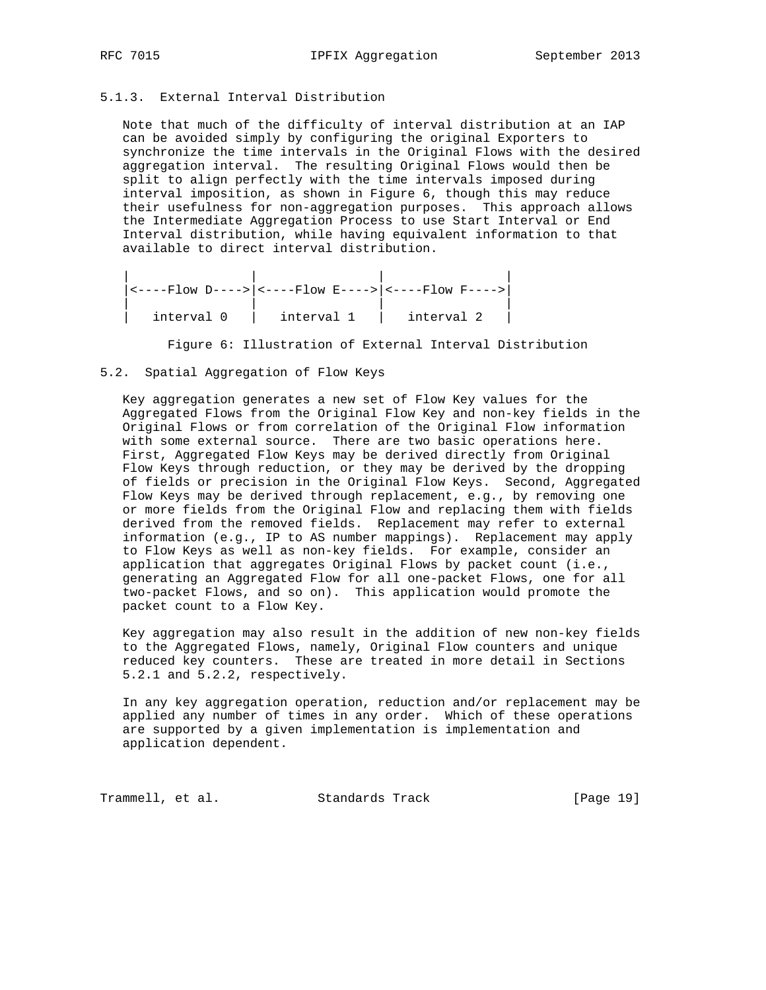## 5.1.3. External Interval Distribution

 Note that much of the difficulty of interval distribution at an IAP can be avoided simply by configuring the original Exporters to synchronize the time intervals in the Original Flows with the desired aggregation interval. The resulting Original Flows would then be split to align perfectly with the time intervals imposed during interval imposition, as shown in Figure 6, though this may reduce their usefulness for non-aggregation purposes. This approach allows the Intermediate Aggregation Process to use Start Interval or End Interval distribution, while having equivalent information to that available to direct interval distribution.

 | | | | |<----Flow D---->|<----Flow E---->|<----Flow F---->| | | | |  $\begin{vmatrix} \text{interval } 0 & \text{interval } 1 & \text{interval } 2 \end{vmatrix}$ 

Figure 6: Illustration of External Interval Distribution

### 5.2. Spatial Aggregation of Flow Keys

 Key aggregation generates a new set of Flow Key values for the Aggregated Flows from the Original Flow Key and non-key fields in the Original Flows or from correlation of the Original Flow information with some external source. There are two basic operations here. First, Aggregated Flow Keys may be derived directly from Original Flow Keys through reduction, or they may be derived by the dropping of fields or precision in the Original Flow Keys. Second, Aggregated Flow Keys may be derived through replacement, e.g., by removing one or more fields from the Original Flow and replacing them with fields derived from the removed fields. Replacement may refer to external information (e.g., IP to AS number mappings). Replacement may apply to Flow Keys as well as non-key fields. For example, consider an application that aggregates Original Flows by packet count (i.e., generating an Aggregated Flow for all one-packet Flows, one for all two-packet Flows, and so on). This application would promote the packet count to a Flow Key.

 Key aggregation may also result in the addition of new non-key fields to the Aggregated Flows, namely, Original Flow counters and unique reduced key counters. These are treated in more detail in Sections 5.2.1 and 5.2.2, respectively.

 In any key aggregation operation, reduction and/or replacement may be applied any number of times in any order. Which of these operations are supported by a given implementation is implementation and application dependent.

Trammell, et al. Standards Track [Page 19]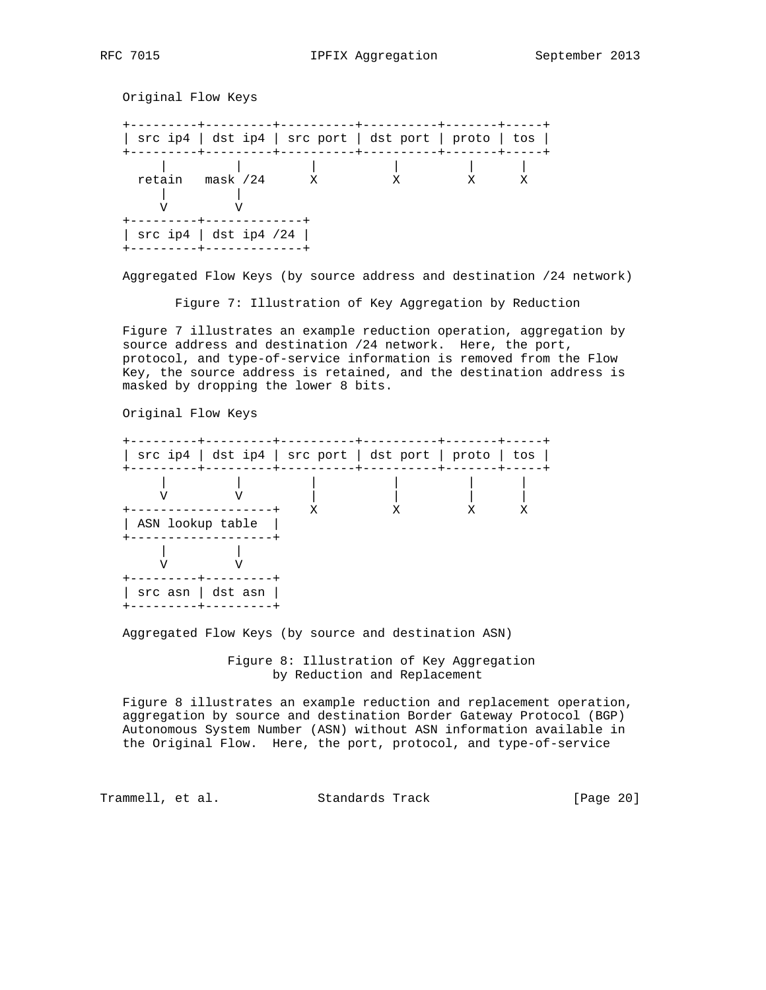Original Flow Keys +---------+---------+----------+----------+-------+-----+ | src ip4 | dst ip4 | src port | dst port | proto | tos | +---------+---------+----------+----------+-------+-----+ | | | | | | retain mask /24 X X X X | | V V +---------+-------------+ | src ip4 | dst ip4 /24 | +---------+-------------+

Aggregated Flow Keys (by source address and destination /24 network)

Figure 7: Illustration of Key Aggregation by Reduction

 Figure 7 illustrates an example reduction operation, aggregation by source address and destination /24 network. Here, the port, protocol, and type-of-service information is removed from the Flow Key, the source address is retained, and the destination address is masked by dropping the lower 8 bits.

Original Flow Keys



Aggregated Flow Keys (by source and destination ASN)

 Figure 8: Illustration of Key Aggregation by Reduction and Replacement

 Figure 8 illustrates an example reduction and replacement operation, aggregation by source and destination Border Gateway Protocol (BGP) Autonomous System Number (ASN) without ASN information available in the Original Flow. Here, the port, protocol, and type-of-service

Trammell, et al. Standards Track [Page 20]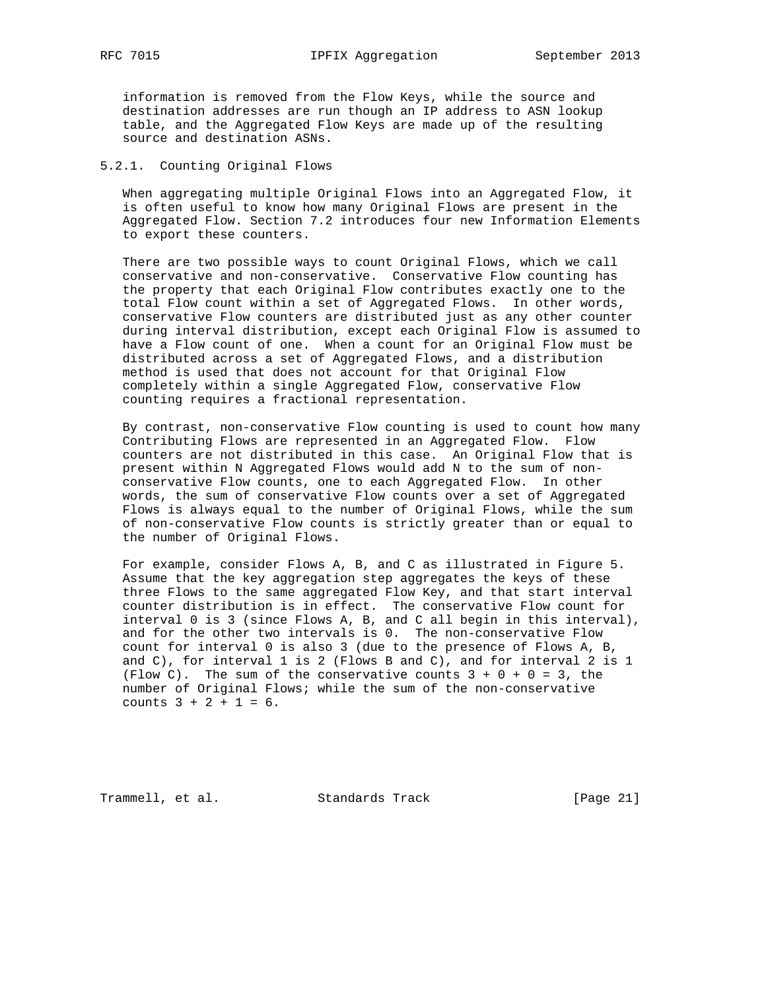information is removed from the Flow Keys, while the source and destination addresses are run though an IP address to ASN lookup table, and the Aggregated Flow Keys are made up of the resulting source and destination ASNs.

### 5.2.1. Counting Original Flows

 When aggregating multiple Original Flows into an Aggregated Flow, it is often useful to know how many Original Flows are present in the Aggregated Flow. Section 7.2 introduces four new Information Elements to export these counters.

 There are two possible ways to count Original Flows, which we call conservative and non-conservative. Conservative Flow counting has the property that each Original Flow contributes exactly one to the total Flow count within a set of Aggregated Flows. In other words, conservative Flow counters are distributed just as any other counter during interval distribution, except each Original Flow is assumed to have a Flow count of one. When a count for an Original Flow must be distributed across a set of Aggregated Flows, and a distribution method is used that does not account for that Original Flow completely within a single Aggregated Flow, conservative Flow counting requires a fractional representation.

 By contrast, non-conservative Flow counting is used to count how many Contributing Flows are represented in an Aggregated Flow. Flow counters are not distributed in this case. An Original Flow that is present within N Aggregated Flows would add N to the sum of non conservative Flow counts, one to each Aggregated Flow. In other words, the sum of conservative Flow counts over a set of Aggregated Flows is always equal to the number of Original Flows, while the sum of non-conservative Flow counts is strictly greater than or equal to the number of Original Flows.

 For example, consider Flows A, B, and C as illustrated in Figure 5. Assume that the key aggregation step aggregates the keys of these three Flows to the same aggregated Flow Key, and that start interval counter distribution is in effect. The conservative Flow count for interval 0 is 3 (since Flows A, B, and C all begin in this interval), and for the other two intervals is 0. The non-conservative Flow count for interval 0 is also 3 (due to the presence of Flows A, B, and C), for interval 1 is 2 (Flows B and C), and for interval 2 is 1 (Flow C). The sum of the conservative counts  $3 + 0 + 0 = 3$ , the number of Original Flows; while the sum of the non-conservative counts 3 + 2 + 1 = 6.

Trammell, et al. Standards Track [Page 21]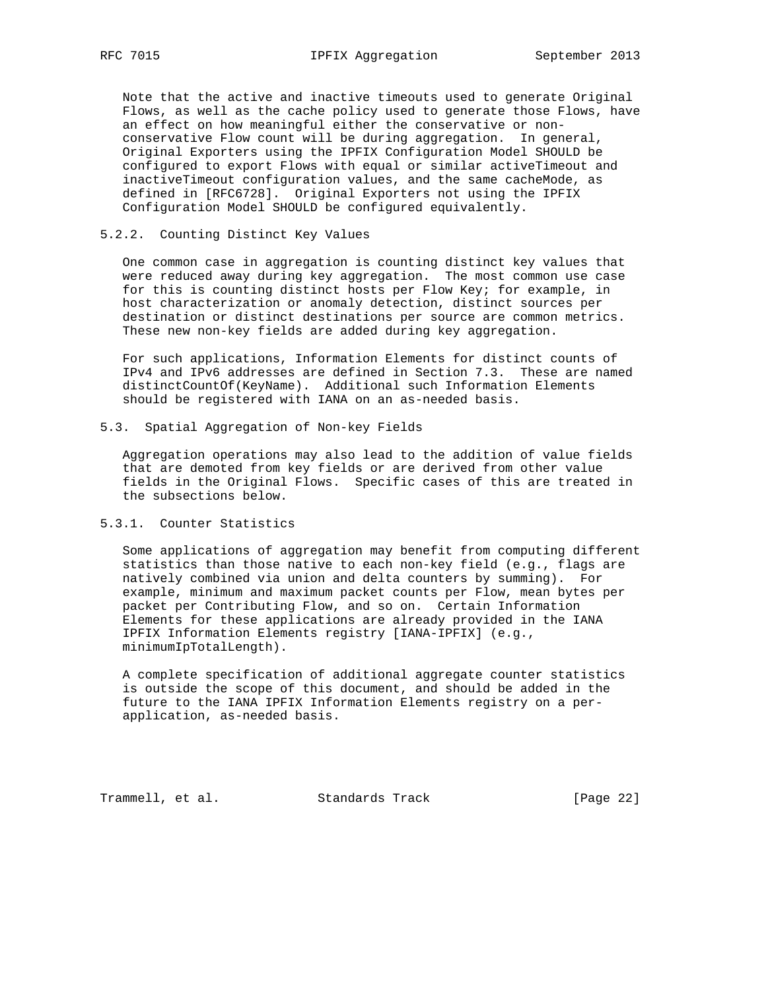Note that the active and inactive timeouts used to generate Original Flows, as well as the cache policy used to generate those Flows, have an effect on how meaningful either the conservative or non conservative Flow count will be during aggregation. In general, Original Exporters using the IPFIX Configuration Model SHOULD be configured to export Flows with equal or similar activeTimeout and inactiveTimeout configuration values, and the same cacheMode, as defined in [RFC6728]. Original Exporters not using the IPFIX Configuration Model SHOULD be configured equivalently.

#### 5.2.2. Counting Distinct Key Values

 One common case in aggregation is counting distinct key values that were reduced away during key aggregation. The most common use case for this is counting distinct hosts per Flow Key; for example, in host characterization or anomaly detection, distinct sources per destination or distinct destinations per source are common metrics. These new non-key fields are added during key aggregation.

 For such applications, Information Elements for distinct counts of IPv4 and IPv6 addresses are defined in Section 7.3. These are named distinctCountOf(KeyName). Additional such Information Elements should be registered with IANA on an as-needed basis.

5.3. Spatial Aggregation of Non-key Fields

 Aggregation operations may also lead to the addition of value fields that are demoted from key fields or are derived from other value fields in the Original Flows. Specific cases of this are treated in the subsections below.

#### 5.3.1. Counter Statistics

 Some applications of aggregation may benefit from computing different statistics than those native to each non-key field (e.g., flags are natively combined via union and delta counters by summing). For example, minimum and maximum packet counts per Flow, mean bytes per packet per Contributing Flow, and so on. Certain Information Elements for these applications are already provided in the IANA IPFIX Information Elements registry [IANA-IPFIX] (e.g., minimumIpTotalLength).

 A complete specification of additional aggregate counter statistics is outside the scope of this document, and should be added in the future to the IANA IPFIX Information Elements registry on a per application, as-needed basis.

Trammell, et al. Standards Track [Page 22]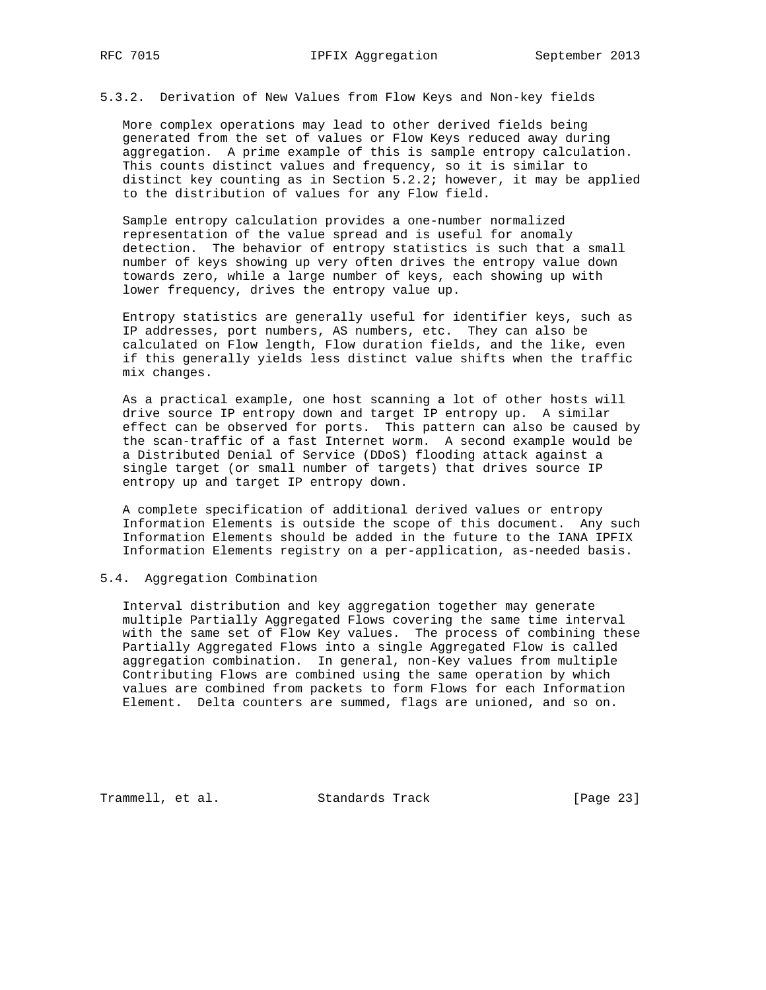5.3.2. Derivation of New Values from Flow Keys and Non-key fields

 More complex operations may lead to other derived fields being generated from the set of values or Flow Keys reduced away during aggregation. A prime example of this is sample entropy calculation. This counts distinct values and frequency, so it is similar to distinct key counting as in Section  $5.2.2$ ; however, it may be applied to the distribution of values for any Flow field.

 Sample entropy calculation provides a one-number normalized representation of the value spread and is useful for anomaly detection. The behavior of entropy statistics is such that a small number of keys showing up very often drives the entropy value down towards zero, while a large number of keys, each showing up with lower frequency, drives the entropy value up.

 Entropy statistics are generally useful for identifier keys, such as IP addresses, port numbers, AS numbers, etc. They can also be calculated on Flow length, Flow duration fields, and the like, even if this generally yields less distinct value shifts when the traffic mix changes.

 As a practical example, one host scanning a lot of other hosts will drive source IP entropy down and target IP entropy up. A similar effect can be observed for ports. This pattern can also be caused by the scan-traffic of a fast Internet worm. A second example would be a Distributed Denial of Service (DDoS) flooding attack against a single target (or small number of targets) that drives source IP entropy up and target IP entropy down.

 A complete specification of additional derived values or entropy Information Elements is outside the scope of this document. Any such Information Elements should be added in the future to the IANA IPFIX Information Elements registry on a per-application, as-needed basis.

#### 5.4. Aggregation Combination

 Interval distribution and key aggregation together may generate multiple Partially Aggregated Flows covering the same time interval with the same set of Flow Key values. The process of combining these Partially Aggregated Flows into a single Aggregated Flow is called aggregation combination. In general, non-Key values from multiple Contributing Flows are combined using the same operation by which values are combined from packets to form Flows for each Information Element. Delta counters are summed, flags are unioned, and so on.

Trammell, et al. Standards Track [Page 23]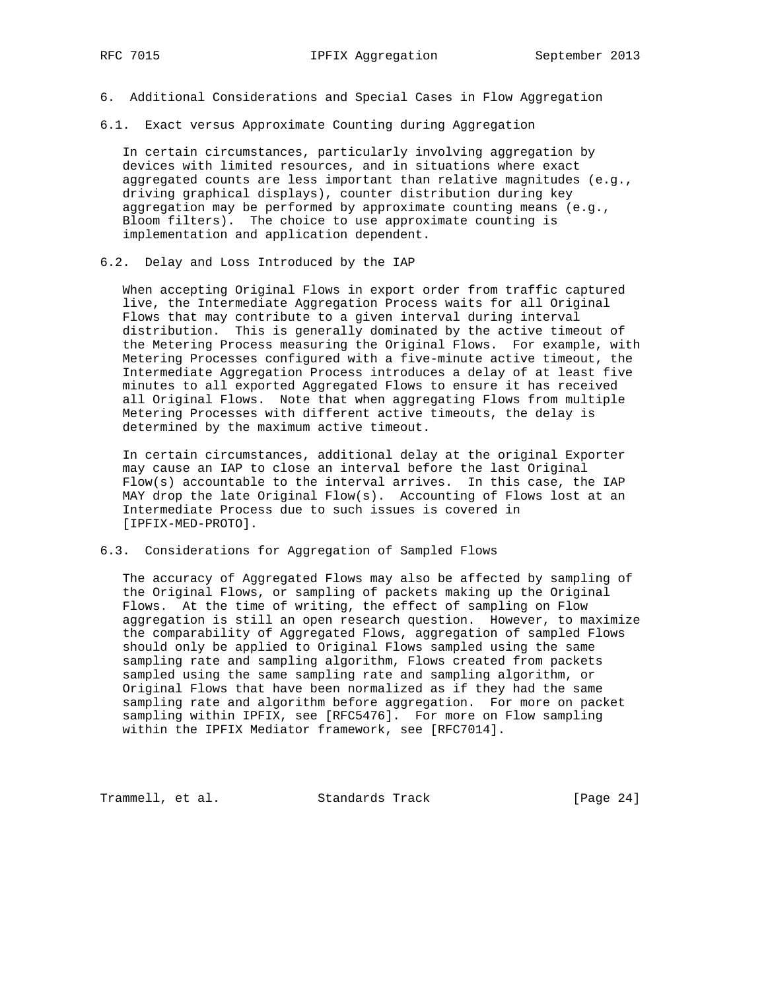- 6. Additional Considerations and Special Cases in Flow Aggregation
- 6.1. Exact versus Approximate Counting during Aggregation

 In certain circumstances, particularly involving aggregation by devices with limited resources, and in situations where exact aggregated counts are less important than relative magnitudes (e.g., driving graphical displays), counter distribution during key aggregation may be performed by approximate counting means (e.g., Bloom filters). The choice to use approximate counting is implementation and application dependent.

6.2. Delay and Loss Introduced by the IAP

 When accepting Original Flows in export order from traffic captured live, the Intermediate Aggregation Process waits for all Original Flows that may contribute to a given interval during interval distribution. This is generally dominated by the active timeout of the Metering Process measuring the Original Flows. For example, with Metering Processes configured with a five-minute active timeout, the Intermediate Aggregation Process introduces a delay of at least five minutes to all exported Aggregated Flows to ensure it has received all Original Flows. Note that when aggregating Flows from multiple Metering Processes with different active timeouts, the delay is determined by the maximum active timeout.

 In certain circumstances, additional delay at the original Exporter may cause an IAP to close an interval before the last Original Flow(s) accountable to the interval arrives. In this case, the IAP MAY drop the late Original Flow(s). Accounting of Flows lost at an Intermediate Process due to such issues is covered in [IPFIX-MED-PROTO].

6.3. Considerations for Aggregation of Sampled Flows

 The accuracy of Aggregated Flows may also be affected by sampling of the Original Flows, or sampling of packets making up the Original Flows. At the time of writing, the effect of sampling on Flow aggregation is still an open research question. However, to maximize the comparability of Aggregated Flows, aggregation of sampled Flows should only be applied to Original Flows sampled using the same sampling rate and sampling algorithm, Flows created from packets sampled using the same sampling rate and sampling algorithm, or Original Flows that have been normalized as if they had the same sampling rate and algorithm before aggregation. For more on packet sampling within IPFIX, see [RFC5476]. For more on Flow sampling within the IPFIX Mediator framework, see [RFC7014].

Trammell, et al. Standards Track [Page 24]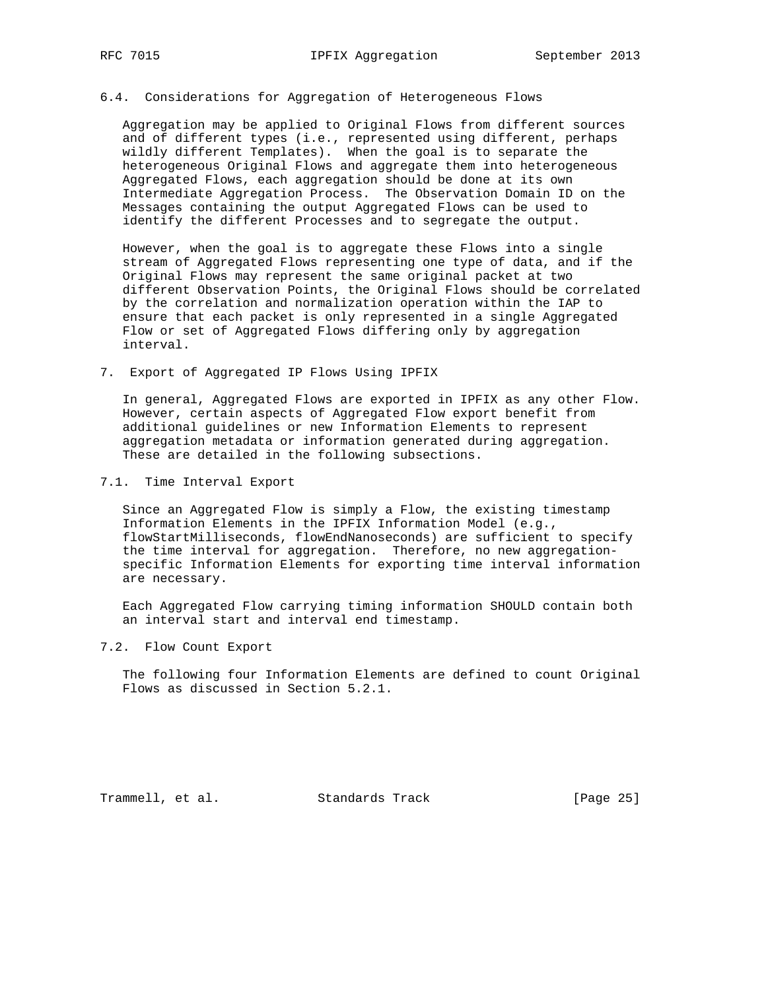#### 6.4. Considerations for Aggregation of Heterogeneous Flows

 Aggregation may be applied to Original Flows from different sources and of different types (i.e., represented using different, perhaps wildly different Templates). When the goal is to separate the heterogeneous Original Flows and aggregate them into heterogeneous Aggregated Flows, each aggregation should be done at its own Intermediate Aggregation Process. The Observation Domain ID on the Messages containing the output Aggregated Flows can be used to identify the different Processes and to segregate the output.

 However, when the goal is to aggregate these Flows into a single stream of Aggregated Flows representing one type of data, and if the Original Flows may represent the same original packet at two different Observation Points, the Original Flows should be correlated by the correlation and normalization operation within the IAP to ensure that each packet is only represented in a single Aggregated Flow or set of Aggregated Flows differing only by aggregation interval.

7. Export of Aggregated IP Flows Using IPFIX

 In general, Aggregated Flows are exported in IPFIX as any other Flow. However, certain aspects of Aggregated Flow export benefit from additional guidelines or new Information Elements to represent aggregation metadata or information generated during aggregation. These are detailed in the following subsections.

7.1. Time Interval Export

 Since an Aggregated Flow is simply a Flow, the existing timestamp Information Elements in the IPFIX Information Model (e.g., flowStartMilliseconds, flowEndNanoseconds) are sufficient to specify the time interval for aggregation. Therefore, no new aggregation specific Information Elements for exporting time interval information are necessary.

 Each Aggregated Flow carrying timing information SHOULD contain both an interval start and interval end timestamp.

7.2. Flow Count Export

 The following four Information Elements are defined to count Original Flows as discussed in Section 5.2.1.

Trammell, et al. Standards Track [Page 25]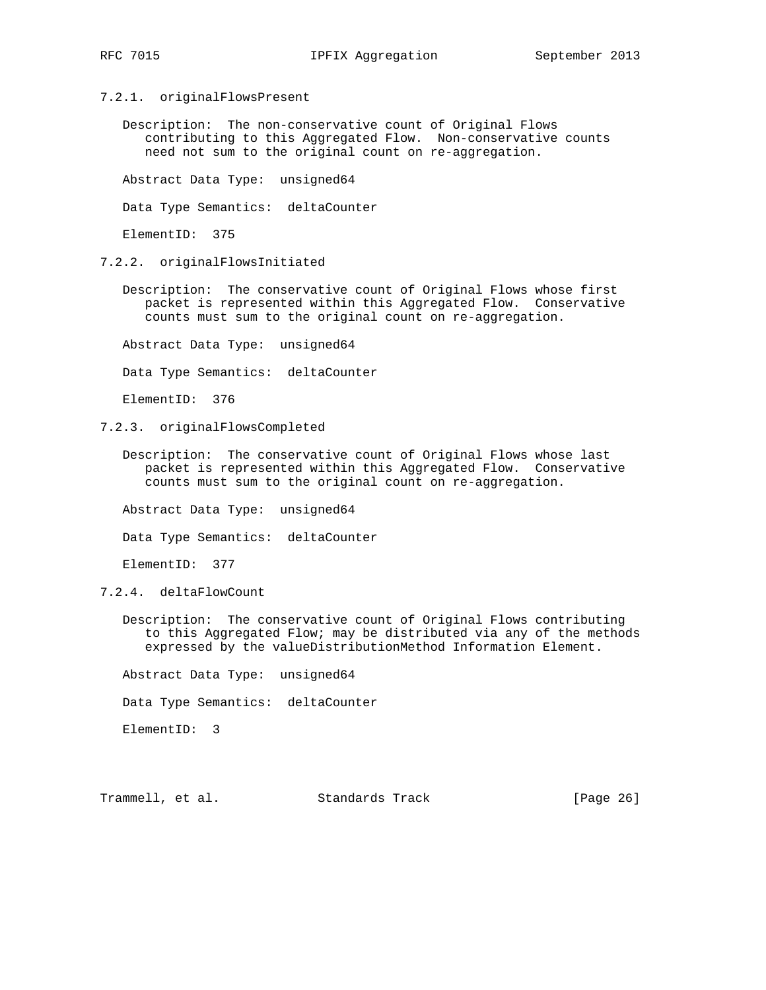- 7.2.1. originalFlowsPresent
	- Description: The non-conservative count of Original Flows contributing to this Aggregated Flow. Non-conservative counts need not sum to the original count on re-aggregation.

Abstract Data Type: unsigned64

Data Type Semantics: deltaCounter

ElementID: 375

- 7.2.2. originalFlowsInitiated
	- Description: The conservative count of Original Flows whose first packet is represented within this Aggregated Flow. Conservative counts must sum to the original count on re-aggregation.

Abstract Data Type: unsigned64

Data Type Semantics: deltaCounter

ElementID: 376

- 7.2.3. originalFlowsCompleted
	- Description: The conservative count of Original Flows whose last packet is represented within this Aggregated Flow. Conservative counts must sum to the original count on re-aggregation.

Abstract Data Type: unsigned64

Data Type Semantics: deltaCounter

ElementID: 377

- 7.2.4. deltaFlowCount
	- Description: The conservative count of Original Flows contributing to this Aggregated Flow; may be distributed via any of the methods expressed by the valueDistributionMethod Information Element.

Abstract Data Type: unsigned64

Data Type Semantics: deltaCounter

ElementID: 3

Trammell, et al. Standards Track [Page 26]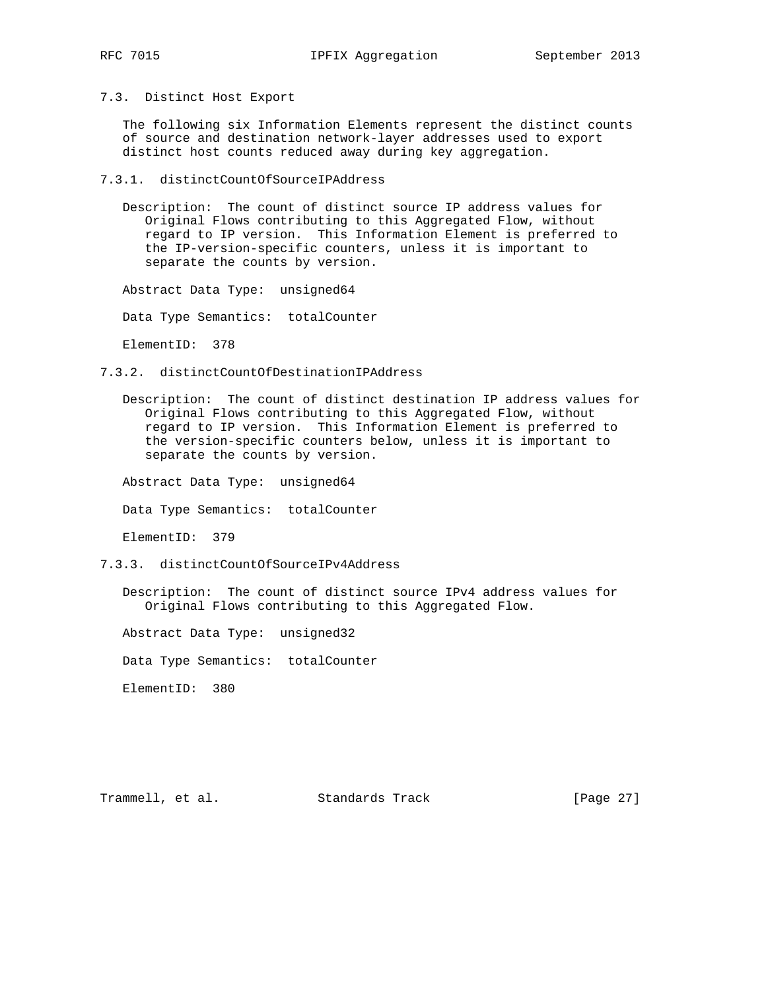7.3. Distinct Host Export

 The following six Information Elements represent the distinct counts of source and destination network-layer addresses used to export distinct host counts reduced away during key aggregation.

7.3.1. distinctCountOfSourceIPAddress

 Description: The count of distinct source IP address values for Original Flows contributing to this Aggregated Flow, without regard to IP version. This Information Element is preferred to the IP-version-specific counters, unless it is important to separate the counts by version.

Abstract Data Type: unsigned64

Data Type Semantics: totalCounter

ElementID: 378

- 7.3.2. distinctCountOfDestinationIPAddress
	- Description: The count of distinct destination IP address values for Original Flows contributing to this Aggregated Flow, without regard to IP version. This Information Element is preferred to the version-specific counters below, unless it is important to separate the counts by version.

Abstract Data Type: unsigned64

Data Type Semantics: totalCounter

ElementID: 379

7.3.3. distinctCountOfSourceIPv4Address

 Description: The count of distinct source IPv4 address values for Original Flows contributing to this Aggregated Flow.

Abstract Data Type: unsigned32

Data Type Semantics: totalCounter

ElementID: 380

Trammell, et al. Standards Track [Page 27]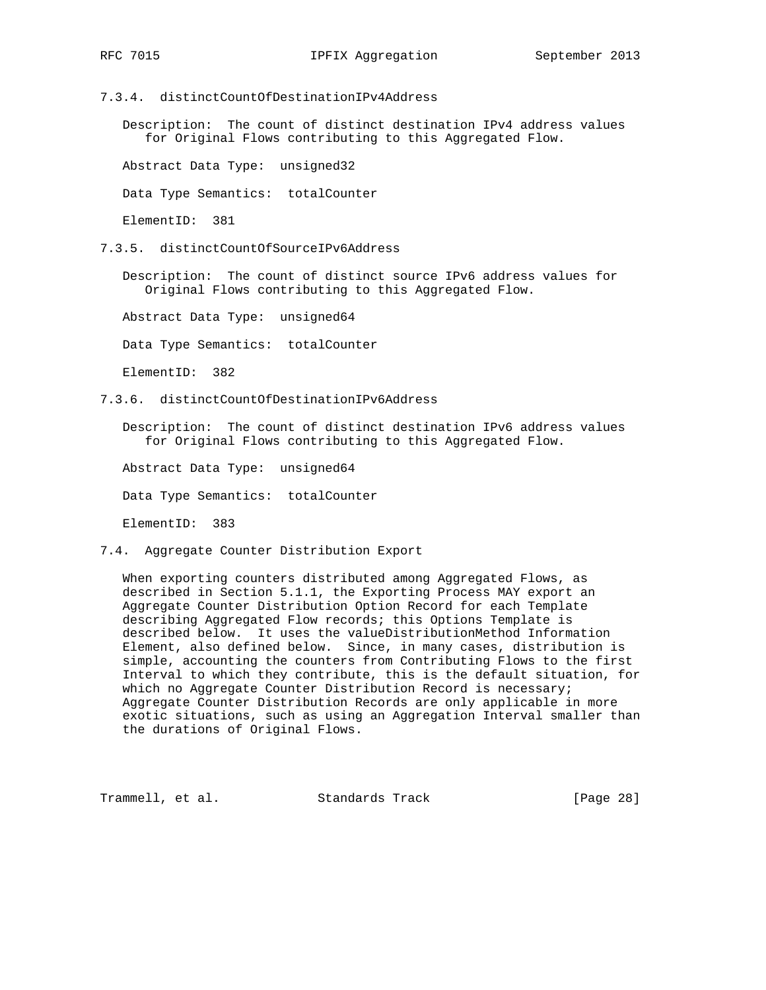7.3.4. distinctCountOfDestinationIPv4Address

 Description: The count of distinct destination IPv4 address values for Original Flows contributing to this Aggregated Flow.

Abstract Data Type: unsigned32

Data Type Semantics: totalCounter

ElementID: 381

7.3.5. distinctCountOfSourceIPv6Address

 Description: The count of distinct source IPv6 address values for Original Flows contributing to this Aggregated Flow.

Abstract Data Type: unsigned64

Data Type Semantics: totalCounter

ElementID: 382

7.3.6. distinctCountOfDestinationIPv6Address

 Description: The count of distinct destination IPv6 address values for Original Flows contributing to this Aggregated Flow.

Abstract Data Type: unsigned64

Data Type Semantics: totalCounter

ElementID: 383

7.4. Aggregate Counter Distribution Export

 When exporting counters distributed among Aggregated Flows, as described in Section 5.1.1, the Exporting Process MAY export an Aggregate Counter Distribution Option Record for each Template describing Aggregated Flow records; this Options Template is described below. It uses the valueDistributionMethod Information Element, also defined below. Since, in many cases, distribution is simple, accounting the counters from Contributing Flows to the first Interval to which they contribute, this is the default situation, for which no Aggregate Counter Distribution Record is necessary; Aggregate Counter Distribution Records are only applicable in more exotic situations, such as using an Aggregation Interval smaller than the durations of Original Flows.

Trammell, et al. Standards Track [Page 28]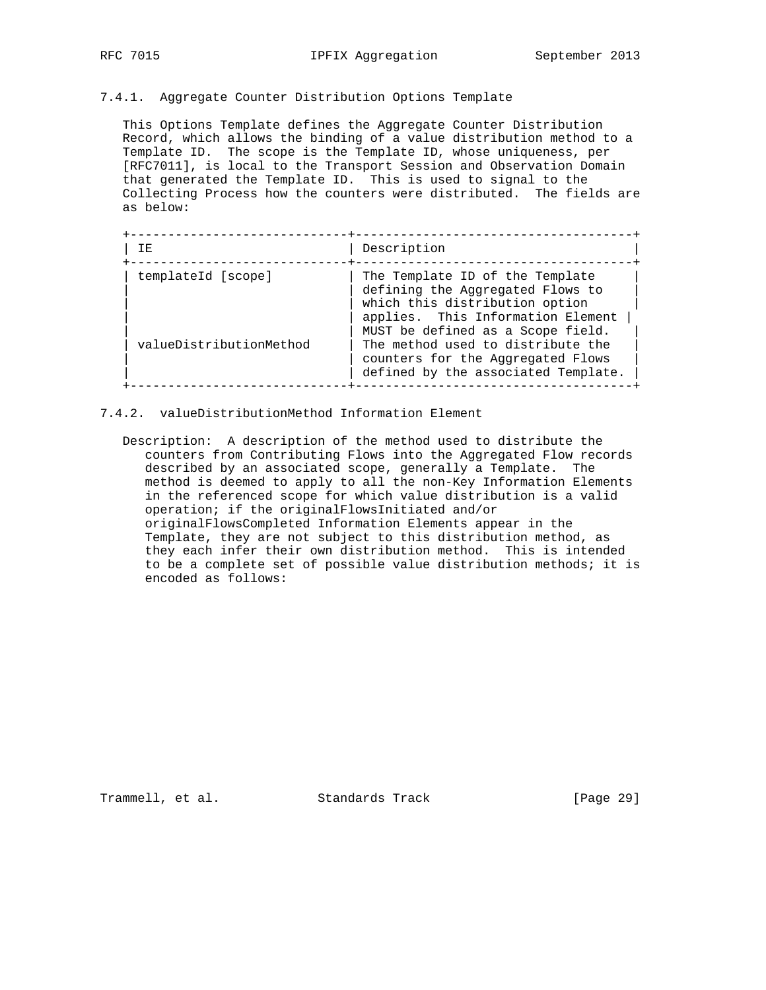#### 7.4.1. Aggregate Counter Distribution Options Template

 This Options Template defines the Aggregate Counter Distribution Record, which allows the binding of a value distribution method to a Template ID. The scope is the Template ID, whose uniqueness, per [RFC7011], is local to the Transport Session and Observation Domain that generated the Template ID. This is used to signal to the Collecting Process how the counters were distributed. The fields are as below:

| TE.                     | Description                                                                                                                                                                     |
|-------------------------|---------------------------------------------------------------------------------------------------------------------------------------------------------------------------------|
| templateId [scope]      | The Template ID of the Template<br>defining the Aggregated Flows to<br>which this distribution option<br>applies. This Information Element<br>MUST be defined as a Scope field. |
| valueDistributionMethod | The method used to distribute the<br>counters for the Aggregated Flows<br>defined by the associated Template.                                                                   |

- 7.4.2. valueDistributionMethod Information Element
	- Description: A description of the method used to distribute the counters from Contributing Flows into the Aggregated Flow records described by an associated scope, generally a Template. The method is deemed to apply to all the non-Key Information Elements in the referenced scope for which value distribution is a valid operation; if the originalFlowsInitiated and/or originalFlowsCompleted Information Elements appear in the Template, they are not subject to this distribution method, as they each infer their own distribution method. This is intended to be a complete set of possible value distribution methods; it is encoded as follows:

Trammell, et al. Standards Track [Page 29]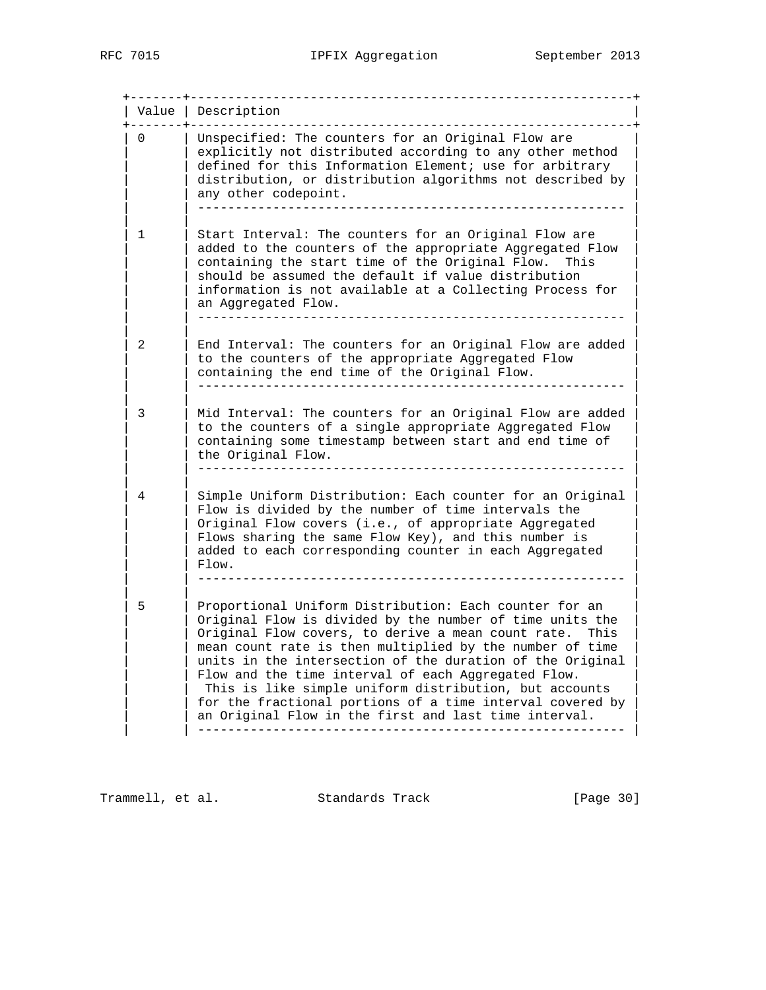+-------+-----------------------------------------------------------+ | Value | Description | +-------+-----------------------------------------------------------+ 0 | Unspecified: The counters for an Original Flow are  $|$  explicitly not distributed according to any other method | defined for this Information Element; use for arbitrary | distribution, or distribution algorithms not described by any other codepoint. | | --------------------------------------------------------- | | | | | 1 | Start Interval: The counters for an Original Flow are | added to the counters of the appropriate Aggregated Flow containing the start time of the Original Flow. This should be assumed the default if value distribution information is not available at a Collecting Process for an Aggregated Flow. | | --------------------------------------------------------- | | | | | 2 | End Interval: The counters for an Original Flow are added | to the counters of the appropriate Aggregated Flow containing the end time of the Original Flow. | | --------------------------------------------------------- | | | | | 3 | Mid Interval: The counters for an Original Flow are added | to the counters of a single appropriate Aggregated Flow containing some timestamp between start and end time of the Original Flow. | | --------------------------------------------------------- | | | | | 4 | Simple Uniform Distribution: Each counter for an Original | Flow is divided by the number of time intervals the Original Flow covers (i.e., of appropriate Aggregated Flows sharing the same Flow Key), and this number is added to each corresponding counter in each Aggregated | | Flow. | | | --------------------------------------------------------- | | | | | 5 | Proportional Uniform Distribution: Each counter for an | Original Flow is divided by the number of time units the Original Flow covers, to derive a mean count rate. This mean count rate is then multiplied by the number of time units in the intersection of the duration of the Original Flow and the time interval of each Aggregated Flow. This is like simple uniform distribution, but accounts for the fractional portions of a time interval covered by an Original Flow in the first and last time interval. | | --------------------------------------------------------- |

Trammell, et al. Standards Track [Page 30]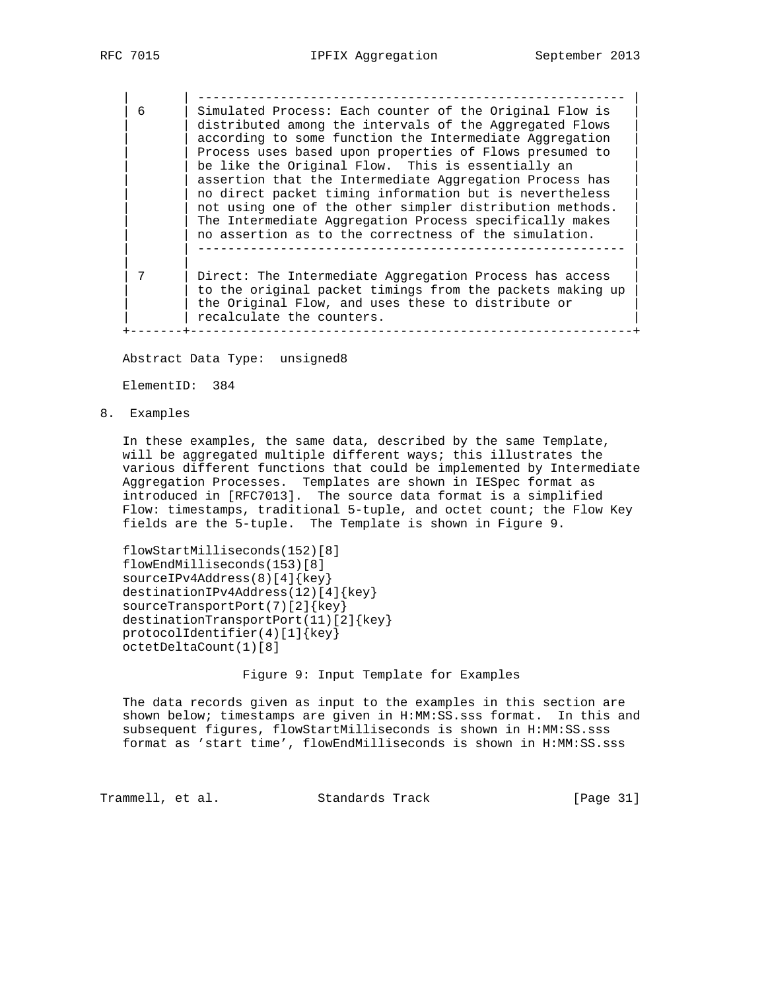| | --------------------------------------------------------- | | 6 | Simulated Process: Each counter of the Original Flow is | distributed among the intervals of the Aggregated Flows according to some function the Intermediate Aggregation Process uses based upon properties of Flows presumed to be like the Original Flow. This is essentially an assertion that the Intermediate Aggregation Process has no direct packet timing information but is nevertheless not using one of the other simpler distribution methods. The Intermediate Aggregation Process specifically makes no assertion as to the correctness of the simulation. | | --------------------------------------------------------- | | | | | 7 | Direct: The Intermediate Aggregation Process has access | to the original packet timings from the packets making up the Original Flow, and uses these to distribute or | recalculate the counters. +-------+-----------------------------------------------------------+

Abstract Data Type: unsigned8

ElementID: 384

8. Examples

 In these examples, the same data, described by the same Template, will be aggregated multiple different ways; this illustrates the various different functions that could be implemented by Intermediate Aggregation Processes. Templates are shown in IESpec format as introduced in [RFC7013]. The source data format is a simplified Flow: timestamps, traditional 5-tuple, and octet count; the Flow Key fields are the 5-tuple. The Template is shown in Figure 9.

 flowStartMilliseconds(152)[8] flowEndMilliseconds(153)[8] sourceIPv4Address(8)[4]{key} destinationIPv4Address(12)[4]{key} sourceTransportPort(7)[2]{key} destinationTransportPort(11)[2]{key} protocolIdentifier(4)[1]{key} octetDeltaCount(1)[8]

Figure 9: Input Template for Examples

 The data records given as input to the examples in this section are shown below; timestamps are given in H:MM:SS.sss format. In this and subsequent figures, flowStartMilliseconds is shown in H:MM:SS.sss format as 'start time', flowEndMilliseconds is shown in H:MM:SS.sss

Trammell, et al. Standards Track [Page 31]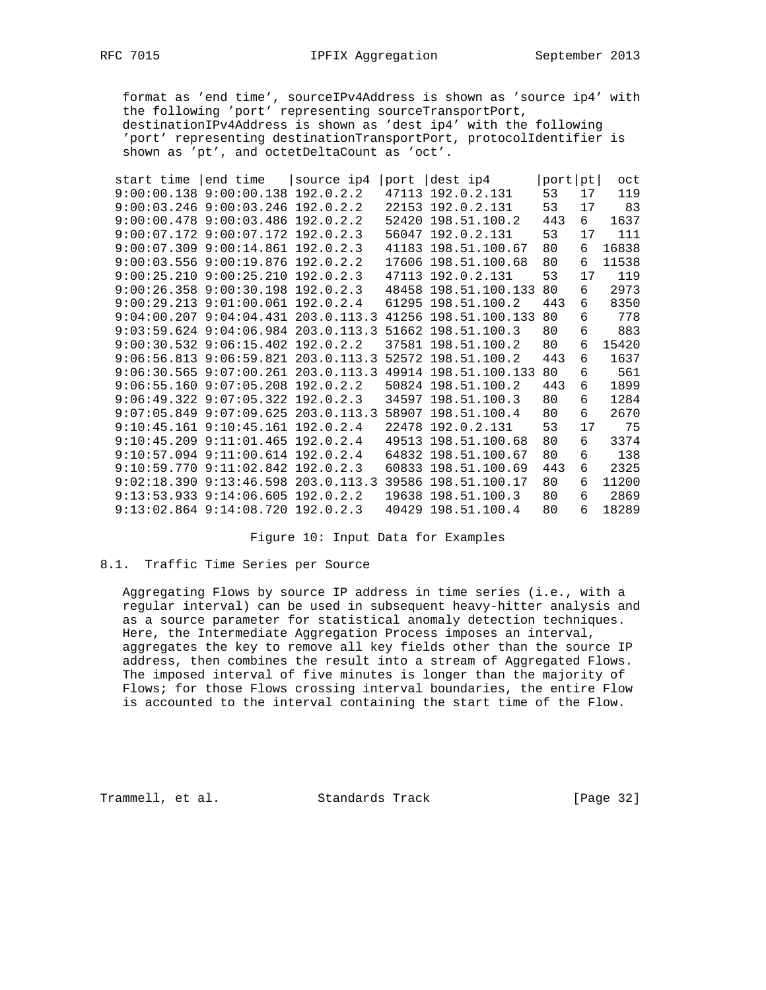format as 'end time', sourceIPv4Address is shown as 'source ip4' with the following 'port' representing sourceTransportPort, destinationIPv4Address is shown as 'dest ip4' with the following 'port' representing destinationTransportPort, protocolIdentifier is shown as 'pt', and octetDeltaCount as 'oct'.

| start time | end time                                | source ip4 | port  | dest ip4                                                           | port | pt | oct   |
|------------|-----------------------------------------|------------|-------|--------------------------------------------------------------------|------|----|-------|
|            | $9:00:00.138$ $9:00:00.138$             | 192.0.2.2  | 47113 | 192.0.2.131                                                        | 53   | 17 | 119   |
|            | $9:00:03.246$ $9:00:03.246$ 192.0.2.2   |            |       | 22153 192.0.2.131                                                  | 53   | 17 | 83    |
|            | $9:00:00.478$ $9:00:03.486$ 192.0.2.2   |            |       | 52420 198.51.100.2                                                 | 443  | 6  | 1637  |
|            | $9:00:07.172$ $9:00:07.172$ $192.0.2.3$ |            |       | 56047 192.0.2.131                                                  | 53   | 17 | 111   |
|            | $9:00:07.309$ $9:00:14.861$ $192.0.2.3$ |            |       | 41183 198.51.100.67                                                | 80   | 6  | 16838 |
|            | $9:00:03.556$ $9:00:19.876$ 192.0.2.2   |            |       | 17606 198.51.100.68                                                | 80   | 6  | 11538 |
|            | $9:00:25.210$ $9:00:25.210$ $192.0.2.3$ |            |       | 47113 192.0.2.131                                                  | 53   | 17 | 119   |
|            | $9:00:26.358$ $9:00:30.198$ 192.0.2.3   |            |       | 48458 198.51.100.133                                               | 80   | 6  | 2973  |
|            | $9:00:29.213$ $9:01:00.061$ 192.0.2.4   |            |       | 61295 198.51.100.2                                                 | 443  | 6  | 8350  |
|            |                                         |            |       | 9:04:00.207 9:04:04.431 203.0.113.3 41256 198.51.100.133           | 80   | 6  | 778   |
|            |                                         |            |       | $9:03:59.624$ $9:04:06.984$ $203.0.113.3$ $51662$ $198.51.100.3$   | 80   | 6  | 883   |
|            | $9:00:30.532$ $9:06:15.402$ $192.0.2.2$ |            |       | 37581 198.51.100.2                                                 | 80   | 6  | 15420 |
|            |                                         |            |       | 9:06:56.813  9:06:59.821  203.0.113.3  52572  198.51.100.2         | 443  | 6  | 1637  |
|            |                                         |            |       | $9:06:30.565$ $9:07:00.261$ $203.0.113.3$ $49914$ $198.51.100.133$ | 80   | 6  | 561   |
|            | $9:06:55.160$ $9:07:05.208$ 192.0.2.2   |            |       | 50824 198.51.100.2                                                 | 443  | 6  | 1899  |
|            | $9:06:49.322$ $9:07:05.322$ $192.0.2.3$ |            |       | 34597 198.51.100.3                                                 | 80   | 6  | 1284  |
|            |                                         |            |       | 9:07:05.849 9:07:09.625 203.0.113.3 58907 198.51.100.4             | 80   | 6  | 2670  |
|            | $9:10:45.161$ $9:10:45.161$ $192.0.2.4$ |            |       | 22478 192.0.2.131                                                  | 53   | 17 | 75    |
|            | $9:10:45.209$ $9:11:01.465$ $192.0.2.4$ |            |       | 49513 198.51.100.68                                                | 80   | 6  | 3374  |
|            | 9:10:57.094 9:11:00.614 192.0.2.4       |            |       | 64832 198.51.100.67                                                | 80   | 6  | 138   |
|            | $9:10:59.770$ $9:11:02.842$ $192.0.2.3$ |            |       | 60833 198.51.100.69                                                | 443  | 6  | 2325  |
|            |                                         |            |       | 9:02:18.390 9:13:46.598 203.0.113.3 39586 198.51.100.17            | 80   | 6  | 11200 |
|            | $9:13:53.933$ $9:14:06.605$ $192.0.2.2$ |            |       | 19638 198.51.100.3                                                 | 80   | 6  | 2869  |
|            | $9:13:02.864$ $9:14:08.720$ $192.0.2.3$ |            |       | 40429 198.51.100.4                                                 | 80   | 6  | 18289 |

Figure 10: Input Data for Examples

#### 8.1. Traffic Time Series per Source

 Aggregating Flows by source IP address in time series (i.e., with a regular interval) can be used in subsequent heavy-hitter analysis and as a source parameter for statistical anomaly detection techniques. Here, the Intermediate Aggregation Process imposes an interval, aggregates the key to remove all key fields other than the source IP address, then combines the result into a stream of Aggregated Flows. The imposed interval of five minutes is longer than the majority of Flows; for those Flows crossing interval boundaries, the entire Flow is accounted to the interval containing the start time of the Flow.

Trammell, et al. Standards Track [Page 32]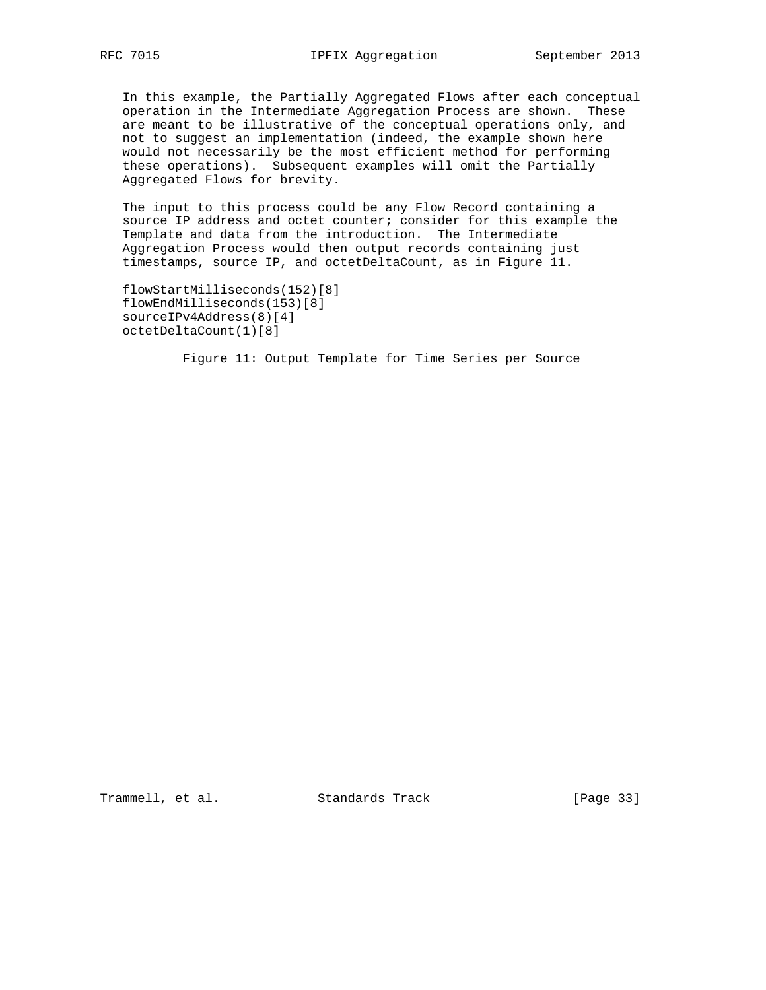In this example, the Partially Aggregated Flows after each conceptual operation in the Intermediate Aggregation Process are shown. These are meant to be illustrative of the conceptual operations only, and not to suggest an implementation (indeed, the example shown here would not necessarily be the most efficient method for performing these operations). Subsequent examples will omit the Partially Aggregated Flows for brevity.

 The input to this process could be any Flow Record containing a source IP address and octet counter; consider for this example the Template and data from the introduction. The Intermediate Aggregation Process would then output records containing just timestamps, source IP, and octetDeltaCount, as in Figure 11.

```
 flowStartMilliseconds(152)[8]
flowEndMilliseconds(153)[8]
sourceIPv4Address(8)[4]
octetDeltaCount(1)[8]
```
Figure 11: Output Template for Time Series per Source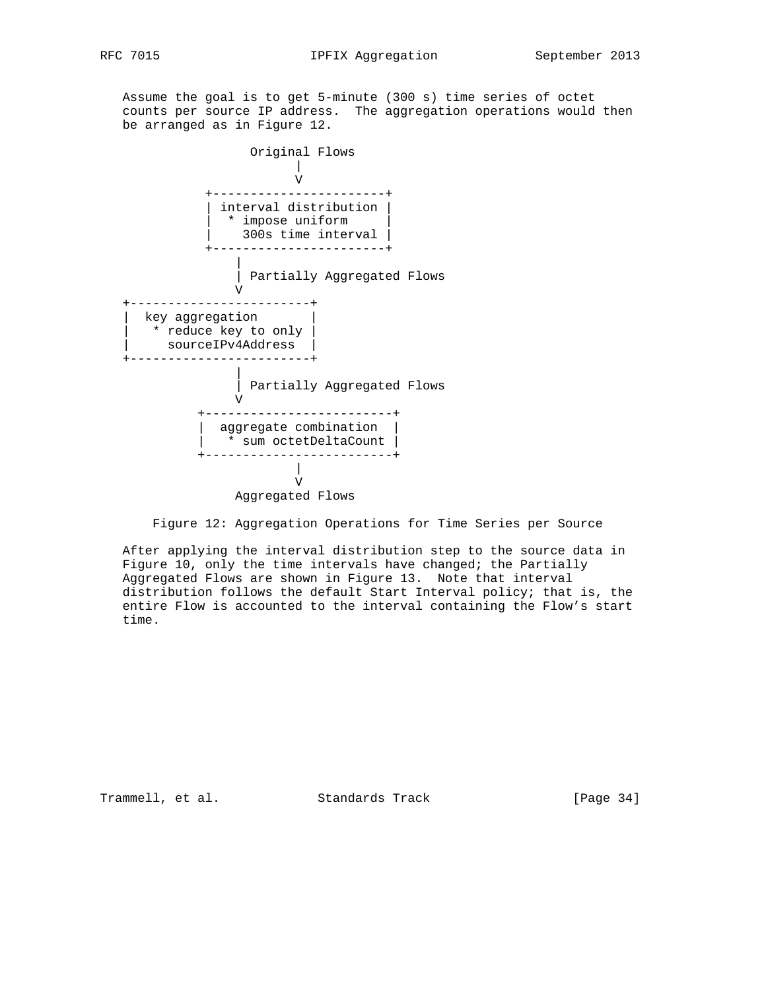Assume the goal is to get 5-minute (300 s) time series of octet counts per source IP address. The aggregation operations would then be arranged as in Figure 12.



Figure 12: Aggregation Operations for Time Series per Source

 After applying the interval distribution step to the source data in Figure 10, only the time intervals have changed; the Partially Aggregated Flows are shown in Figure 13. Note that interval distribution follows the default Start Interval policy; that is, the entire Flow is accounted to the interval containing the Flow's start time.

Trammell, et al. Standards Track [Page 34]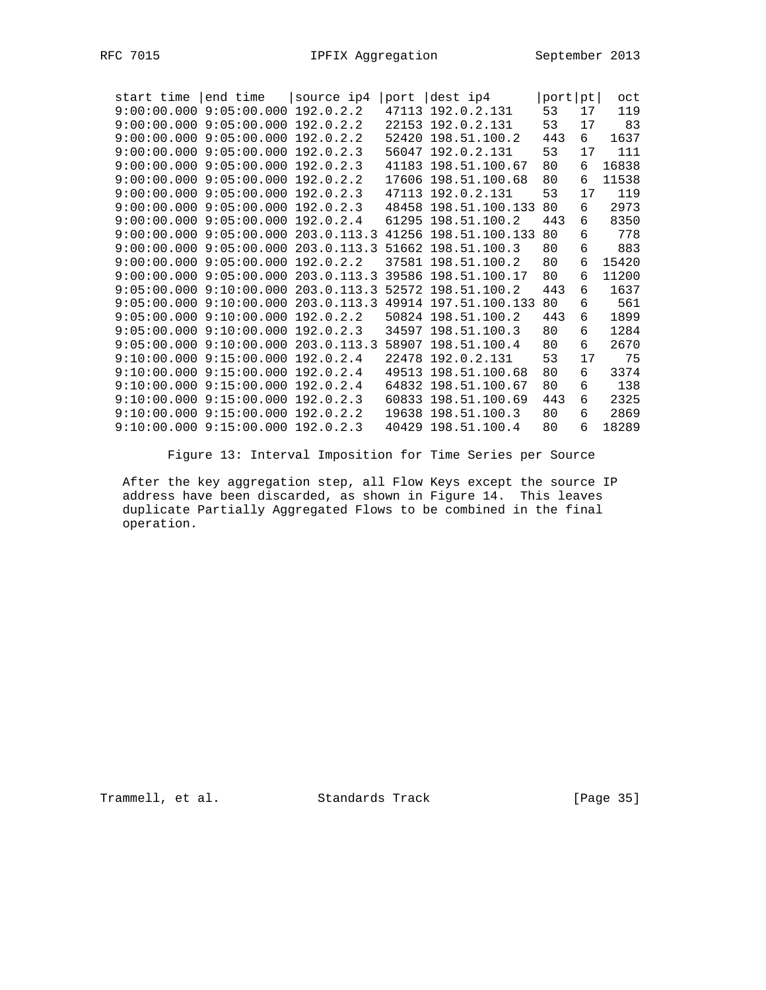| start time end time source ip4          |           | port dest ip4                                            | port[pt] |    | oct   |
|-----------------------------------------|-----------|----------------------------------------------------------|----------|----|-------|
| $9:00:00.000$ $9:05:00.000$             | 192.0.2.2 | 47113 192.0.2.131                                        | 53       | 17 | 119   |
| $9:00:00.000$ $9:05:00.000$ $192.0.2.2$ |           | 22153 192.0.2.131                                        | 53       | 17 | 83    |
| $9:00:00.000$ $9:05:00.000$             | 192.0.2.2 | 52420 198.51.100.2                                       | 443      | 6  | 1637  |
| 9:00:00.000 9:05:00.000 192.0.2.3       |           | 56047 192.0.2.131                                        | 53       | 17 | 111   |
| $9:00:00.000$ $9:05:00.000$ $192.0.2.3$ |           | 41183 198.51.100.67                                      | 80       | 6  | 16838 |
| $9:00:00.000$ $9:05:00.000$ $192.0.2.2$ |           | 17606 198.51.100.68                                      | 80       | 6  | 11538 |
| $9:00:00.000$ $9:05:00.000$             | 192.0.2.3 | 47113 192.0.2.131                                        | 53       | 17 | 119   |
| $9:00:00.000$ $9:05:00.000$ $192.0.2.3$ |           | 48458 198.51.100.133                                     | 80       | 6  | 2973  |
| $9:00:00.000$ $9:05:00.000$ $192.0.2.4$ |           | 61295 198.51.100.2                                       | 443      | 6  | 8350  |
|                                         |           | 9:00:00.000 9:05:00.000 203.0.113.3 41256 198.51.100.133 | 80       | 6  | 778   |
|                                         |           | 9:00:00.000 9:05:00.000 203.0.113.3 51662 198.51.100.3   | 80       | 6  | 883   |
| $9:00:00.000$ $9:05:00.000$ $192.0.2.2$ |           | 37581 198.51.100.2                                       | 80       | 6  | 15420 |
|                                         |           | 9:00:00.000 9:05:00.000 203.0.113.3 39586 198.51.100.17  | 80       | 6  | 11200 |
|                                         |           | 9:05:00.000 9:10:00.000 203.0.113.3 52572 198.51.100.2   | 443      | 6  | 1637  |
|                                         |           | 9:05:00.000 9:10:00.000 203.0.113.3 49914 197.51.100.133 | 80       | 6  | 561   |
|                                         |           | $9:05:00.000$ $9:10:00.000$ 192.0.2.2 50824 198.51.100.2 | 443      | 6  | 1899  |
| $9:05:00.000$ $9:10:00.000$ $192.0.2.3$ |           | 34597 198.51.100.3                                       | 80       | 6  | 1284  |
|                                         |           | 9:05:00.000 9:10:00.000 203.0.113.3 58907 198.51.100.4   | 80       | 6  | 2670  |
| 9:10:00.000 9:15:00.000                 | 192.0.2.4 | 22478 192.0.2.131                                        | 53       | 17 | 75    |
| 9:10:00.000 9:15:00.000 192.0.2.4       |           | 49513 198.51.100.68                                      | 80       | 6  | 3374  |
| 9:10:00.000 9:15:00.000                 | 192.0.2.4 | 64832 198.51.100.67                                      | 80       | 6  | 138   |
| $9:10:00.000$ $9:15:00.000$ $192.0.2.3$ |           | 60833 198.51.100.69                                      | 443      | 6  | 2325  |
| $9:10:00.000$ $9:15:00.000$             | 192.0.2.2 | 19638 198.51.100.3                                       | 80       | 6  | 2869  |
| 9:10:00.000 9:15:00.000 192.0.2.3       |           | 40429 198.51.100.4                                       | 80       | 6  | 18289 |

Figure 13: Interval Imposition for Time Series per Source

 After the key aggregation step, all Flow Keys except the source IP address have been discarded, as shown in Figure 14. This leaves duplicate Partially Aggregated Flows to be combined in the final operation.

Trammell, et al. Standards Track [Page 35]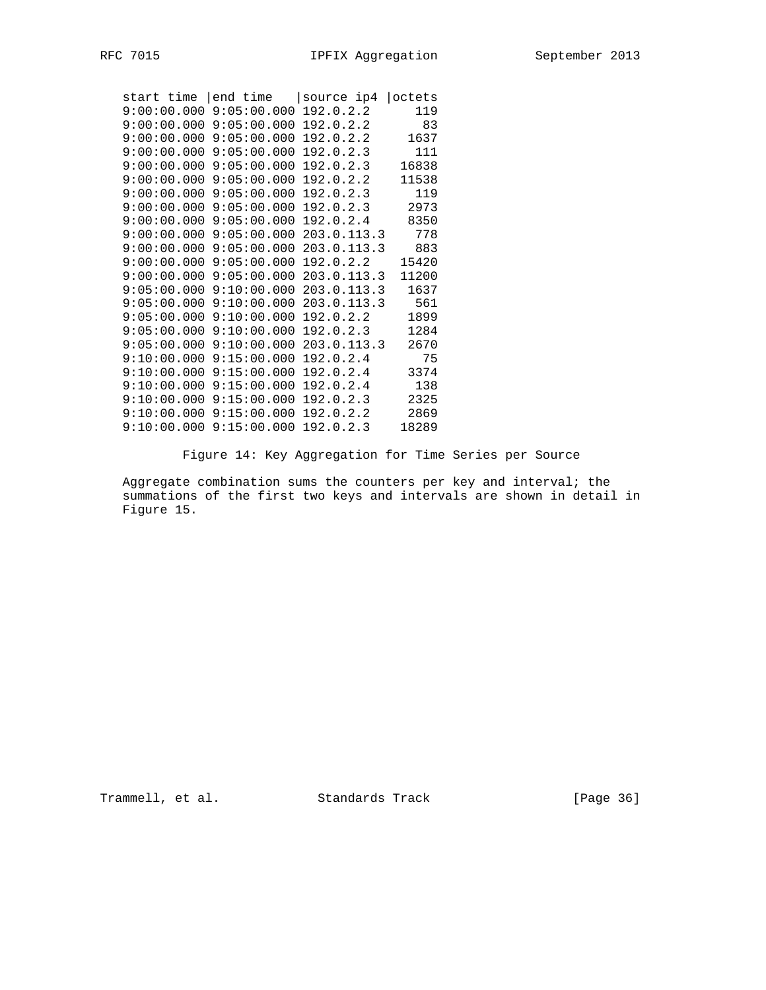| start time  end time |                             | source ip4  | octets |
|----------------------|-----------------------------|-------------|--------|
| 9:00:00.000          | 9:05:00.000                 | 192.0.2.2   | 119    |
|                      | $9:00:00.000$ $9:05:00.000$ | 192.0.2.2   | 83     |
| 9:00:00.000          | 9:05:00.000                 | 192.0.2.2   | 1637   |
| 9:00:00.000          | 9:05:00.000                 | 192.0.2.3   | 111    |
| 9:00:00.000          | 9:05:00.000                 | 192.0.2.3   | 16838  |
| 9:00:00.000          | 9:05:00.000                 | 192.0.2.2   | 11538  |
| 9:00:00.000          | 9:05:00.000                 | 192.0.2.3   | 119    |
| 9:00:00.000          | 9:05:00.000                 | 192.0.2.3   | 2973   |
| 9:00:00.000          | 9:05:00.000                 | 192.0.2.4   | 8350   |
| 9:00:00.000          | 9:05:00.000                 | 203.0.113.3 | 778    |
| 9:00:00.000          | 9:05:00.000                 | 203.0.113.3 | 883    |
| 9:00:00.000          | 9:05:00.000                 | 192.0.2.2   | 15420  |
| 9:00:00.000          | 9:05:00.000                 | 203.0.113.3 | 11200  |
| 9:05:00.000          | 9:10:00.000                 | 203.0.113.3 | 1637   |
| 9:05:00.000          | 9:10:00.000                 | 203.0.113.3 | 561    |
| 9:05:00.000          | 9:10:00.000                 | 192.0.2.2   | 1899   |
| 9:05:00.000          | 9:10:00.000                 | 192.0.2.3   | 1284   |
| 9:05:00.000          | 9:10:00.000                 | 203.0.113.3 | 2670   |
| 9:10:00.000          | 9:15:00.000                 | 192.0.2.4   | 75     |
| 9:10:00.000          | 9:15:00.000                 | 192.0.2.4   | 3374   |
| 9:10:00.000          | 9:15:00.000                 | 192.0.2.4   | 138    |
| 9:10:00.000          | 9:15:00.000                 | 192.0.2.3   | 2325   |
| 9:10:00.000          | 9:15:00.000                 | 192.0.2.2   | 2869   |
| 9:10:00.000          | 9:15:00.000                 | 192.0.2.3   | 18289  |

Figure 14: Key Aggregation for Time Series per Source

Aggregate combination sums the counters per key and interval; the summations of the first two keys and intervals are shown in detail in Figure 15.

Trammell, et al. Standards Track [Page 36]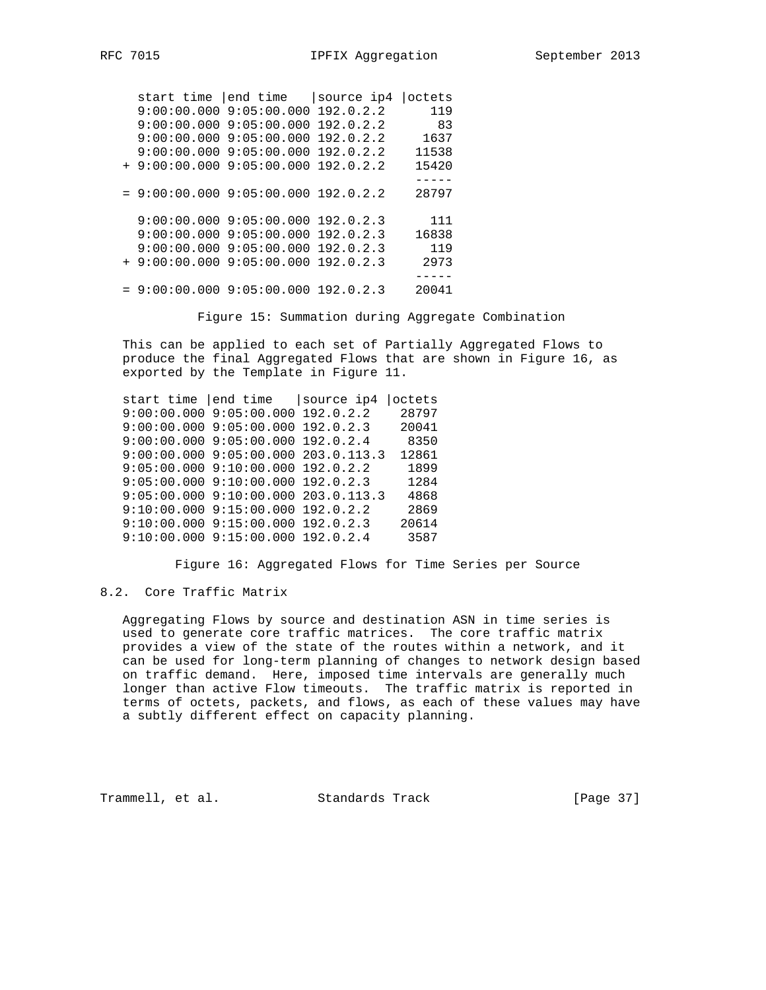start time |end time |source ip4 |octets 9:00:00.000 9:05:00.000 192.0.2.2 119 9:00:00.000 9:05:00.000 192.0.2.2 83 9:00:00.000 9:05:00.000 192.0.2.2 1637 9:00:00.000 9:05:00.000 192.0.2.2 11538 + 9:00:00.000 9:05:00.000 192.0.2.2 15420 -----  $= 9:00:00.0009:05:00.000192.0.2.2 28797$  9:00:00.000 9:05:00.000 192.0.2.3 111 9:00:00.000 9:05:00.000 192.0.2.3 16838 9:00:00.000 9:05:00.000 192.0.2.3 119 + 9:00:00.000 9:05:00.000 192.0.2.3 2973 -----  $= 9:00:00.0009:05:00.000192.0.2.3$  20041

Figure 15: Summation during Aggregate Combination

 This can be applied to each set of Partially Aggregated Flows to produce the final Aggregated Flows that are shown in Figure 16, as exported by the Template in Figure 11.

 start time |end time |source ip4 |octets 9:00:00.000 9:05:00.000 192.0.2.2 28797 9:00:00.000 9:05:00.000 192.0.2.3 20041 9:00:00.000 9:05:00.000 192.0.2.4 8350 9:00:00.000 9:05:00.000 203.0.113.3 12861 9:05:00.000 9:10:00.000 192.0.2.2 1899<br>9:05:00.000 9:10:00.000 192.0.2.3 1284 9:05:00.000 9:10:00.000 192.0.2.3 9:05:00.000 9:10:00.000 203.0.113.3 4868 9:10:00.000 9:15:00.000 192.0.2.2 2869 9:10:00.000 9:15:00.000 192.0.2.3 20614 9:10:00.000 9:15:00.000 192.0.2.4 3587

Figure 16: Aggregated Flows for Time Series per Source

## 8.2. Core Traffic Matrix

 Aggregating Flows by source and destination ASN in time series is used to generate core traffic matrices. The core traffic matrix provides a view of the state of the routes within a network, and it can be used for long-term planning of changes to network design based on traffic demand. Here, imposed time intervals are generally much longer than active Flow timeouts. The traffic matrix is reported in terms of octets, packets, and flows, as each of these values may have a subtly different effect on capacity planning.

Trammell, et al. Standards Track [Page 37]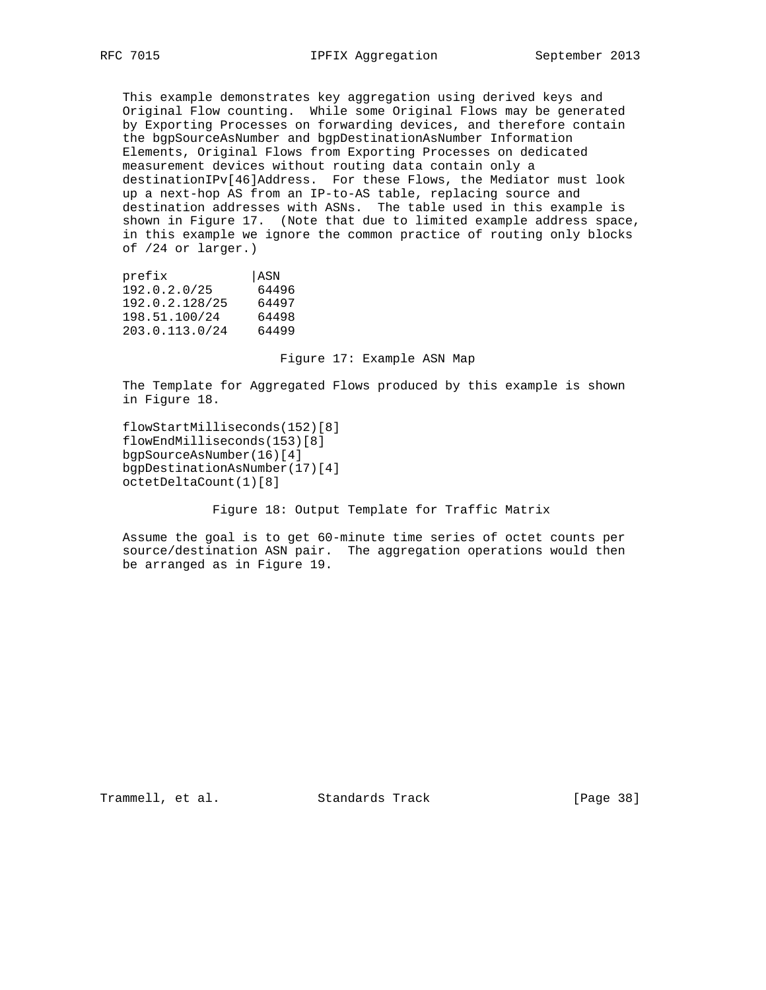This example demonstrates key aggregation using derived keys and Original Flow counting. While some Original Flows may be generated by Exporting Processes on forwarding devices, and therefore contain the bgpSourceAsNumber and bgpDestinationAsNumber Information Elements, Original Flows from Exporting Processes on dedicated measurement devices without routing data contain only a destinationIPv[46]Address. For these Flows, the Mediator must look up a next-hop AS from an IP-to-AS table, replacing source and destination addresses with ASNs. The table used in this example is shown in Figure 17. (Note that due to limited example address space, in this example we ignore the common practice of routing only blocks of /24 or larger.)

| ASN   |
|-------|
| 64496 |
| 64497 |
| 64498 |
| 64499 |
|       |

Figure 17: Example ASN Map

 The Template for Aggregated Flows produced by this example is shown in Figure 18.

 flowStartMilliseconds(152)[8] flowEndMilliseconds(153)[8] bgpSourceAsNumber(16)[4] bgpDestinationAsNumber(17)[4] octetDeltaCount(1)[8]

Figure 18: Output Template for Traffic Matrix

 Assume the goal is to get 60-minute time series of octet counts per source/destination ASN pair. The aggregation operations would then be arranged as in Figure 19.

Trammell, et al. Standards Track [Page 38]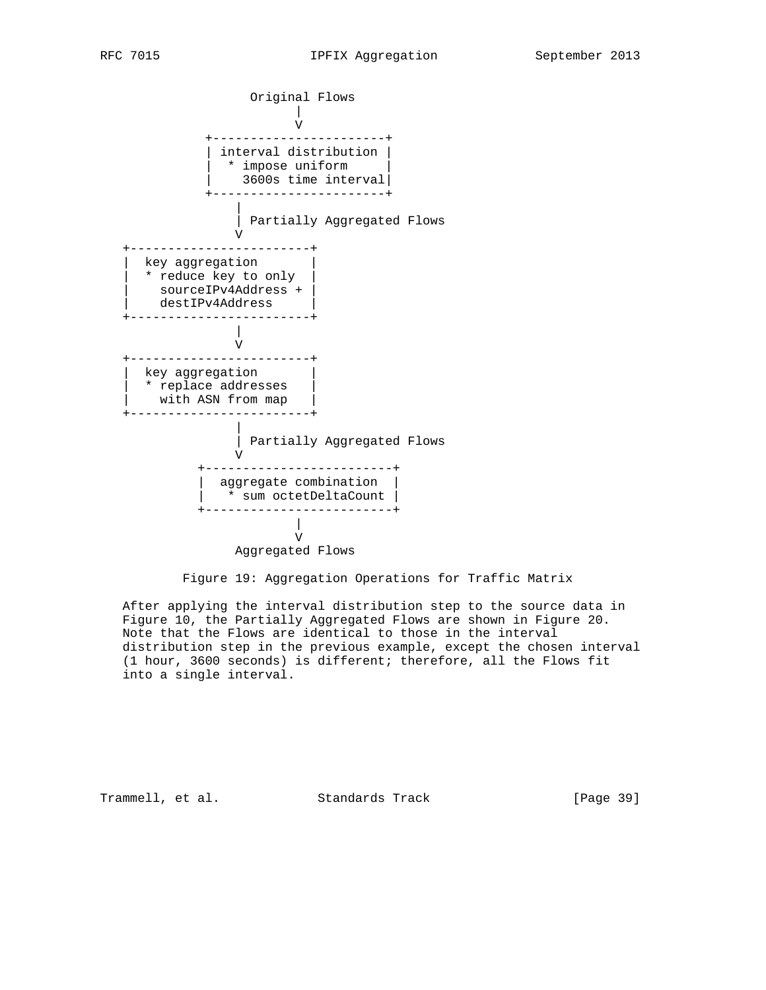

Figure 19: Aggregation Operations for Traffic Matrix

 After applying the interval distribution step to the source data in Figure 10, the Partially Aggregated Flows are shown in Figure 20. Note that the Flows are identical to those in the interval distribution step in the previous example, except the chosen interval (1 hour, 3600 seconds) is different; therefore, all the Flows fit into a single interval.

Trammell, et al. Standards Track [Page 39]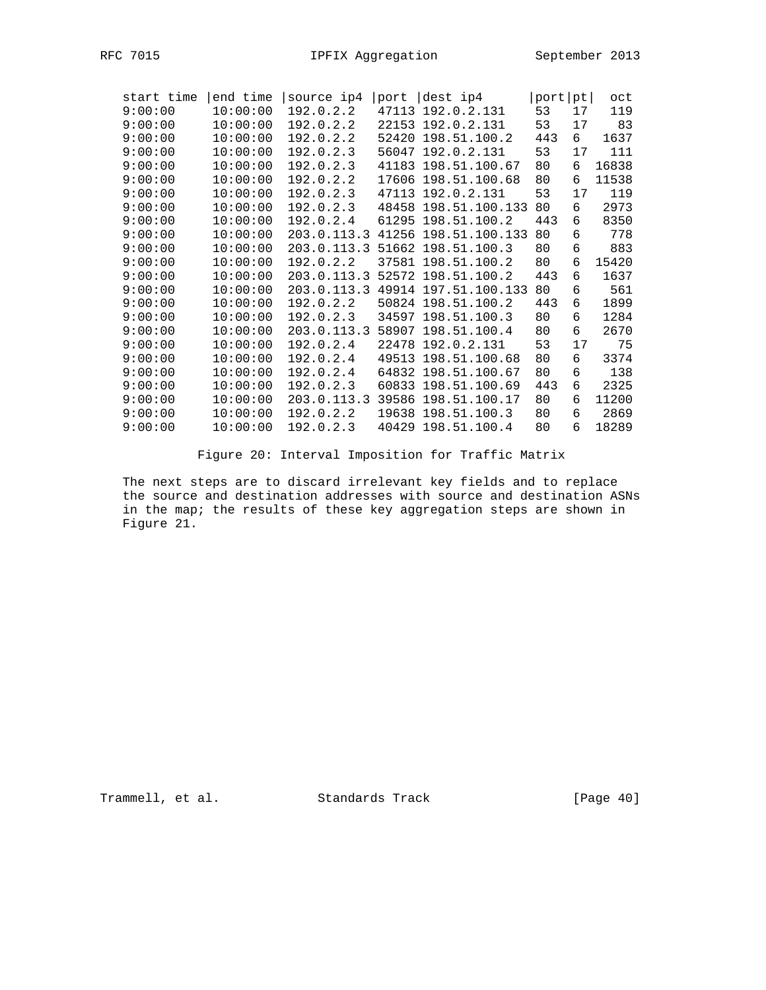| start time | end time | source ip4  | port  | dest ip4            | port | pt | oct   |
|------------|----------|-------------|-------|---------------------|------|----|-------|
| 9:00:00    | 10:00:00 | 192.0.2.2   | 47113 | 192.0.2.131         | 53   | 17 | 119   |
| 9:00:00    | 10:00:00 | 192.0.2.2   |       | 22153 192.0.2.131   | 53   | 17 | 83    |
| 9:00:00    | 10:00:00 | 192.0.2.2   | 52420 | 198.51.100.2        | 443  | 6  | 1637  |
| 9:00:00    | 10:00:00 | 192.0.2.3   |       | 56047 192.0.2.131   | 53   | 17 | 111   |
| 9:00:00    | 10:00:00 | 192.0.2.3   |       | 41183 198.51.100.67 | 80   | 6  | 16838 |
| 9:00:00    | 10:00:00 | 192.0.2.2   |       | 17606 198.51.100.68 | 80   | 6  | 11538 |
| 9:00:00    | 10:00:00 | 192.0.2.3   |       | 47113 192.0.2.131   | 53   | 17 | 119   |
| 9:00:00    | 10:00:00 | 192.0.2.3   | 48458 | 198.51.100.133      | 80   | 6  | 2973  |
| 9:00:00    | 10:00:00 | 192.0.2.4   | 61295 | 198.51.100.2        | 443  | 6  | 8350  |
| 9:00:00    | 10:00:00 | 203.0.113.3 | 41256 | 198.51.100.133      | 80   | 6  | 778   |
| 9:00:00    | 10:00:00 | 203.0.113.3 |       | 51662 198.51.100.3  | 80   | 6  | 883   |
| 9:00:00    | 10:00:00 | 192.0.2.2   |       | 37581 198.51.100.2  | 80   | 6  | 15420 |
| 9:00:00    | 10:00:00 | 203.0.113.3 |       | 52572 198.51.100.2  | 443  | 6  | 1637  |
| 9:00:00    | 10:00:00 | 203.0.113.3 | 49914 | 197.51.100.133      | 80   | 6  | 561   |
| 9:00:00    | 10:00:00 | 192.0.2.2   |       | 50824 198.51.100.2  | 443  | 6  | 1899  |
| 9:00:00    | 10:00:00 | 192.0.2.3   |       | 34597 198.51.100.3  | 80   | 6  | 1284  |
| 9:00:00    | 10:00:00 | 203.0.113.3 | 58907 | 198.51.100.4        | 80   | 6  | 2670  |
| 9:00:00    | 10:00:00 | 192.0.2.4   |       | 22478 192.0.2.131   | 53   | 17 | 75    |
| 9:00:00    | 10:00:00 | 192.0.2.4   |       | 49513 198.51.100.68 | 80   | 6  | 3374  |
| 9:00:00    | 10:00:00 | 192.0.2.4   |       | 64832 198.51.100.67 | 80   | 6  | 138   |
| 9:00:00    | 10:00:00 | 192.0.2.3   |       | 60833 198.51.100.69 | 443  | 6  | 2325  |
| 9:00:00    | 10:00:00 | 203.0.113.3 | 39586 | 198.51.100.17       | 80   | 6  | 11200 |
| 9:00:00    | 10:00:00 | 192.0.2.2   | 19638 | 198.51.100.3        | 80   | 6  | 2869  |
| 9:00:00    | 10:00:00 | 192.0.2.3   |       | 40429 198.51.100.4  | 80   | 6  | 18289 |

Figure 20: Interval Imposition for Traffic Matrix

 The next steps are to discard irrelevant key fields and to replace the source and destination addresses with source and destination ASNs in the map; the results of these key aggregation steps are shown in Figure 21.

Trammell, et al. Standards Track [Page 40]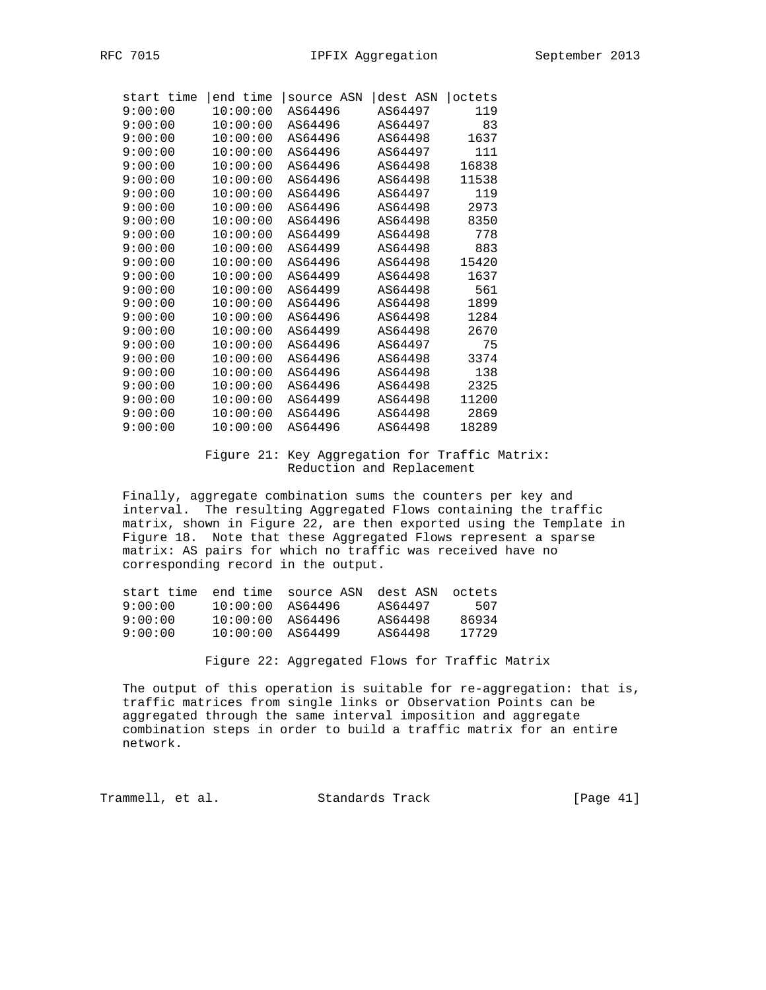| start time | end time | source ASN | dest ASN | octets |
|------------|----------|------------|----------|--------|
| 9:00:00    | 10:00:00 | AS64496    | AS64497  | 119    |
| 9:00:00    | 10:00:00 | AS64496    | AS64497  | 83     |
| 9:00:00    | 10:00:00 | AS64496    | AS64498  | 1637   |
| 9:00:00    | 10:00:00 | AS64496    | AS64497  | 111    |
| 9:00:00    | 10:00:00 | AS64496    | AS64498  | 16838  |
| 9:00:00    | 10:00:00 | AS64496    | AS64498  | 11538  |
| 9:00:00    | 10:00:00 | AS64496    | AS64497  | 119    |
| 9:00:00    | 10:00:00 | AS64496    | AS64498  | 2973   |
| 9:00:00    | 10:00:00 | AS64496    | AS64498  | 8350   |
| 9:00:00    | 10:00:00 | AS64499    | AS64498  | 778    |
| 9:00:00    | 10:00:00 | AS64499    | AS64498  | 883    |
| 9:00:00    | 10:00:00 | AS64496    | AS64498  | 15420  |
| 9:00:00    | 10:00:00 | AS64499    | AS64498  | 1637   |
| 9:00:00    | 10:00:00 | AS64499    | AS64498  | 561    |
| 9:00:00    | 10:00:00 | AS64496    | AS64498  | 1899   |
| 9:00:00    | 10:00:00 | AS64496    | AS64498  | 1284   |
| 9:00:00    | 10:00:00 | AS64499    | AS64498  | 2670   |
| 9:00:00    | 10:00:00 | AS64496    | AS64497  | 75     |
| 9:00:00    | 10:00:00 | AS64496    | AS64498  | 3374   |
| 9:00:00    | 10:00:00 | AS64496    | AS64498  | 138    |
| 9:00:00    | 10:00:00 | AS64496    | AS64498  | 2325   |
| 9:00:00    | 10:00:00 | AS64499    | AS64498  | 11200  |
| 9:00:00    | 10:00:00 | AS64496    | AS64498  | 2869   |
| 9:00:00    | 10:00:00 | AS64496    | AS64498  | 18289  |

### Figure 21: Key Aggregation for Traffic Matrix: Reduction and Replacement

 Finally, aggregate combination sums the counters per key and interval. The resulting Aggregated Flows containing the traffic matrix, shown in Figure 22, are then exported using the Template in Figure 18. Note that these Aggregated Flows represent a sparse matrix: AS pairs for which no traffic was received have no corresponding record in the output.

| start time | end time | source ASN | dest ASN | octets. |
|------------|----------|------------|----------|---------|
| 9:00:00    | 10:00:00 | AS64496    | AS64497  | 507     |
| 9:00:00    | 10:00:00 | AS64496    | AS64498  | 86934   |
| 9:00:00    | 10:00:00 | AS64499    | AS64498  | 17729   |

Figure 22: Aggregated Flows for Traffic Matrix

 The output of this operation is suitable for re-aggregation: that is, traffic matrices from single links or Observation Points can be aggregated through the same interval imposition and aggregate combination steps in order to build a traffic matrix for an entire network.

Trammell, et al. Standards Track [Page 41]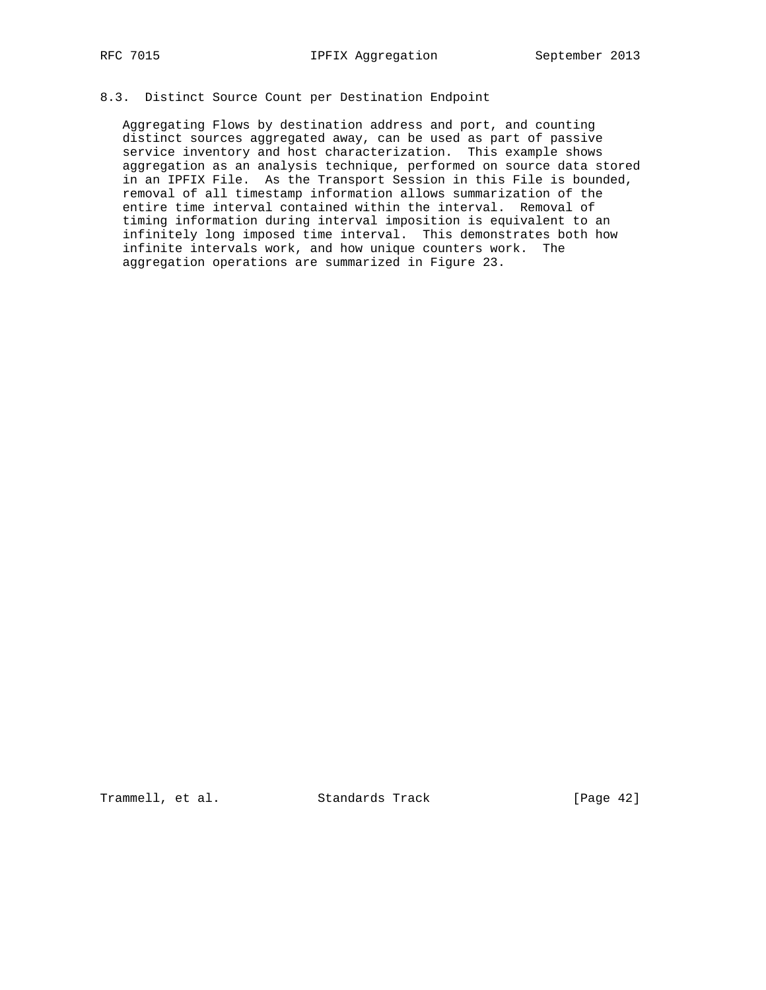# 8.3. Distinct Source Count per Destination Endpoint

 Aggregating Flows by destination address and port, and counting distinct sources aggregated away, can be used as part of passive service inventory and host characterization. This example shows aggregation as an analysis technique, performed on source data stored in an IPFIX File. As the Transport Session in this File is bounded, removal of all timestamp information allows summarization of the entire time interval contained within the interval. Removal of timing information during interval imposition is equivalent to an infinitely long imposed time interval. This demonstrates both how infinite intervals work, and how unique counters work. The aggregation operations are summarized in Figure 23.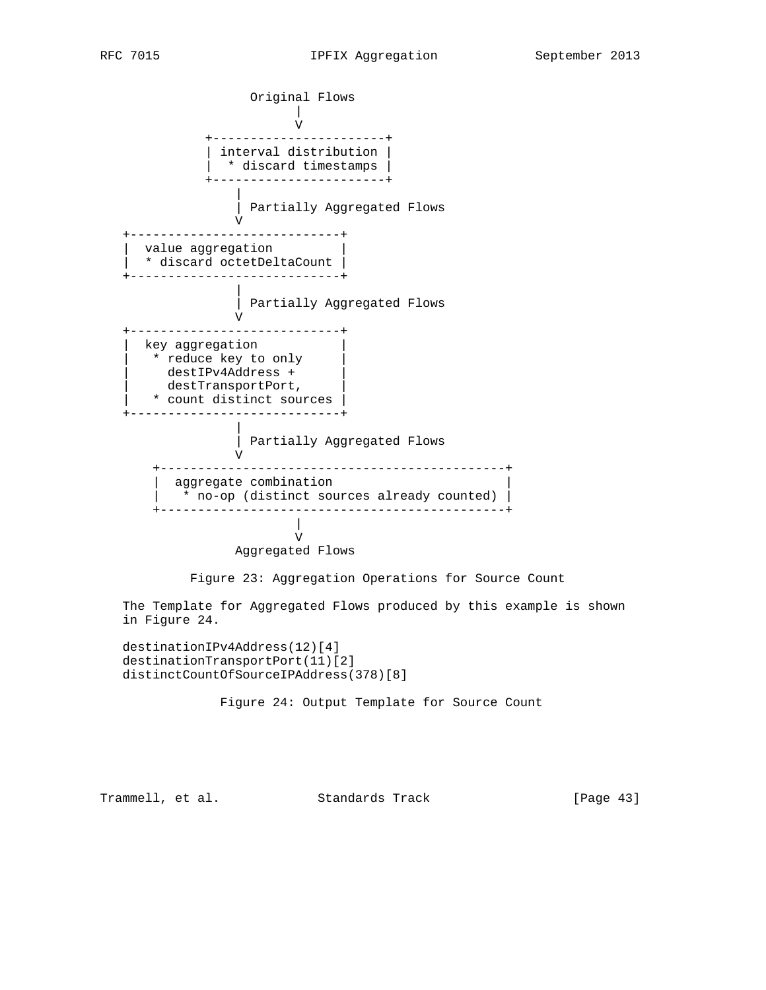Original Flows | V +-----------------------+ | interval distribution | | \* discard timestamps | +-----------------------+ | | Partially Aggregated Flows V +----------------------------+ value aggregation | \* discard octetDeltaCount | +----------------------------+ | | Partially Aggregated Flows V +----------------------------+ key aggregation \* reduce key to only | destIPv4Address + | destTransportPort, | \* count distinct sources | +----------------------------+ | | Partially Aggregated Flows V +----------------------------------------------+ aggregate combination \* no-op (distinct sources already counted) +----------------------------------------------+ | V Aggregated Flows Figure 23: Aggregation Operations for Source Count The Template for Aggregated Flows produced by this example is shown in Figure 24.

 destinationIPv4Address(12)[4] destinationTransportPort(11)[2] distinctCountOfSourceIPAddress(378)[8]

Figure 24: Output Template for Source Count

Trammell, et al. Standards Track [Page 43]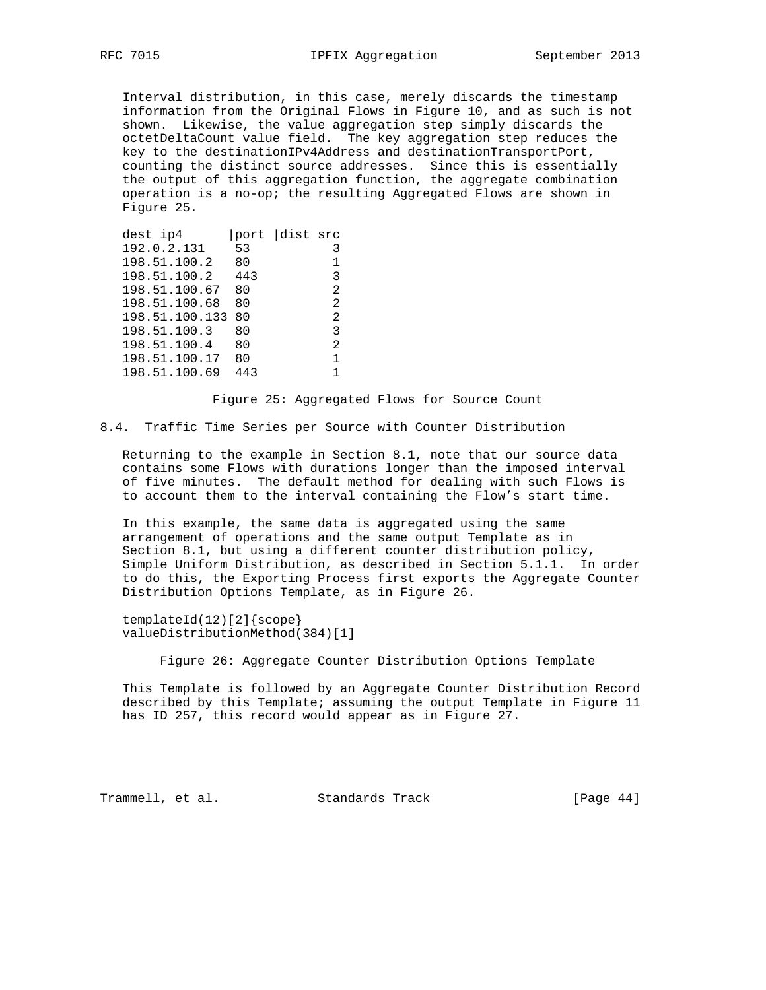Interval distribution, in this case, merely discards the timestamp information from the Original Flows in Figure 10, and as such is not shown. Likewise, the value aggregation step simply discards the octetDeltaCount value field. The key aggregation step reduces the key to the destinationIPv4Address and destinationTransportPort, counting the distinct source addresses. Since this is essentially the output of this aggregation function, the aggregate combination operation is a no-op; the resulting Aggregated Flows are shown in Figure 25.

| dest ip4       |     | port dist src  |
|----------------|-----|----------------|
| 192.0.2.131    | 53  | 3              |
| 198.51.100.2   | 80  |                |
| 198.51.100.2   | 443 | 3              |
| 198.51.100.67  | 80  | $\mathfrak{D}$ |
| 198.51.100.68  | 80  | $\mathfrak{D}$ |
| 198.51.100.133 | 80  | $\mathfrak{D}$ |
| 198.51.100.3   | 80  | 3              |
| 198.51.100.4   | 80  | 2              |
| 198.51.100.17  | 80  | 1              |
| 198.51.100.69  | 443 |                |

Figure 25: Aggregated Flows for Source Count

8.4. Traffic Time Series per Source with Counter Distribution

 Returning to the example in Section 8.1, note that our source data contains some Flows with durations longer than the imposed interval of five minutes. The default method for dealing with such Flows is to account them to the interval containing the Flow's start time.

 In this example, the same data is aggregated using the same arrangement of operations and the same output Template as in Section 8.1, but using a different counter distribution policy, Simple Uniform Distribution, as described in Section 5.1.1. In order to do this, the Exporting Process first exports the Aggregate Counter Distribution Options Template, as in Figure 26.

 templateId(12)[2]{scope} valueDistributionMethod(384)[1]

Figure 26: Aggregate Counter Distribution Options Template

 This Template is followed by an Aggregate Counter Distribution Record described by this Template; assuming the output Template in Figure 11 has ID 257, this record would appear as in Figure 27.

Trammell, et al. Standards Track [Page 44]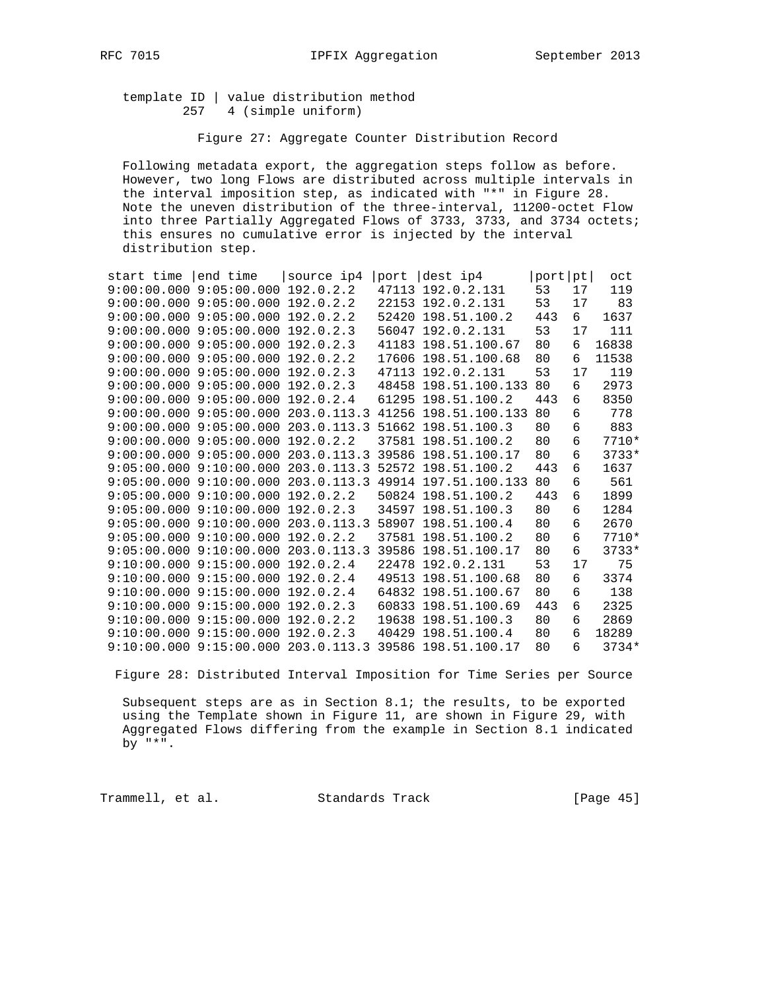template ID | value distribution method 257 4 (simple uniform)

Figure 27: Aggregate Counter Distribution Record

 Following metadata export, the aggregation steps follow as before. However, two long Flows are distributed across multiple intervals in the interval imposition step, as indicated with "\*" in Figure 28. Note the uneven distribution of the three-interval, 11200-octet Flow into three Partially Aggregated Flows of 3733, 3733, and 3734 octets; this ensures no cumulative error is injected by the interval distribution step.

| start time | end time                                | source ip4  | port | dest ip4                                                           | port pt |    | oct     |
|------------|-----------------------------------------|-------------|------|--------------------------------------------------------------------|---------|----|---------|
|            | $9:00:00.000$ $9:05:00.000$             | 192.0.2.2   |      | 47113 192.0.2.131                                                  | 53      | 17 | 119     |
|            | $9:00:00.000$ $9:05:00.000$             | 192.0.2.2   |      | 22153 192.0.2.131                                                  | 53      | 17 | 83      |
|            | $9:00:00.000$ $9:05:00.000$ $192.0.2.2$ |             |      | 52420 198.51.100.2                                                 | 443     | 6  | 1637    |
|            | $9:00:00.000$ $9:05:00.000$             | 192.0.2.3   |      | 56047 192.0.2.131                                                  | 53      | 17 | 111     |
|            | $9:00:00.000$ $9:05:00.000$             | 192.0.2.3   |      | 41183 198.51.100.67                                                | 80      | 6  | 16838   |
|            | $9:00:00.000$ $9:05:00.000$ $192.0.2.2$ |             |      | 17606 198.51.100.68                                                | 80      | 6  | 11538   |
|            | 9:00:00.000 9:05:00.000 192.0.2.3       |             |      | 47113 192.0.2.131                                                  | 53      | 17 | 119     |
|            | $9:00:00.000$ $9:05:00.000$             | 192.0.2.3   |      | 48458 198.51.100.133                                               | 80      | 6  | 2973    |
|            | $9:00:00.000$ $9:05:00.000$ $192.0.2.4$ |             |      | 61295 198.51.100.2                                                 | 443     | 6  | 8350    |
|            |                                         |             |      | 9:00:00.000 9:05:00.000 203.0.113.3 41256 198.51.100.133           | 80      | 6  | 778     |
|            | $9:00:00.000$ $9:05:00.000$ 203.0.113.3 |             |      | 51662 198.51.100.3                                                 | 80      | 6  | 883     |
|            | $9:00:00.000$ $9:05:00.000$ $192.0.2.2$ |             |      | 37581 198.51.100.2                                                 | 80      | 6  | 7710*   |
|            | $9:00:00.000$ $9:05:00.000$             | 203.0.113.3 |      | 39586 198.51.100.17                                                | 80      | 6  | $3733*$ |
|            | $9:05:00.000$ $9:10:00.000$             | 203.0.113.3 |      | 52572 198.51.100.2                                                 | 443     | 6  | 1637    |
|            |                                         |             |      | $9:05:00.000$ $9:10:00.000$ $203.0.113.3$ $49914$ $197.51.100.133$ | 80      | 6  | 561     |
|            | $9:05:00.000$ $9:10:00.000$ $192.0.2.2$ |             |      | 50824 198.51.100.2                                                 | 443     | 6  | 1899    |
|            | $9:05:00.000$ $9:10:00.000$             | 192.0.2.3   |      | 34597 198.51.100.3                                                 | 80      | 6  | 1284    |
|            | $9:05:00.000$ $9:10:00.000$ 203.0.113.3 |             |      | 58907 198.51.100.4                                                 | 80      | 6  | 2670    |
|            | $9:05:00.000$ $9:10:00.000$             | 192.0.2.2   |      | 37581 198.51.100.2                                                 | 80      | 6  | $7710*$ |
|            | 9:05:00.000 9:10:00.000 203.0.113.3     |             |      | 39586 198.51.100.17                                                | 80      | 6  | $3733*$ |
|            | $9:10:00.000$ $9:15:00.000$             | 192.0.2.4   |      | 22478 192.0.2.131                                                  | 53      | 17 | 75      |
|            | $9:10:00.000$ $9:15:00.000$             | 192.0.2.4   |      | 49513 198.51.100.68                                                | 80      | 6  | 3374    |
|            | $9:10:00.000$ $9:15:00.000$             | 192.0.2.4   |      | 64832 198.51.100.67                                                | 80      | 6  | 138     |
|            | 9:10:00.000 9:15:00.000                 | 192.0.2.3   |      | 60833 198.51.100.69                                                | 443     | 6  | 2325    |
|            | $9:10:00.000$ $9:15:00.000$             | 192.0.2.2   |      | 19638 198.51.100.3                                                 | 80      | 6  | 2869    |
|            | $9:10:00.000$ $9:15:00.000$             | 192.0.2.3   |      | 40429 198.51.100.4                                                 | 80      | 6  | 18289   |
|            | 9:10:00.000 9:15:00.000 203.0.113.3     |             |      | 39586 198.51.100.17                                                | 80      | 6  | $3734*$ |
|            |                                         |             |      |                                                                    |         |    |         |

Figure 28: Distributed Interval Imposition for Time Series per Source

 Subsequent steps are as in Section 8.1; the results, to be exported using the Template shown in Figure 11, are shown in Figure 29, with Aggregated Flows differing from the example in Section 8.1 indicated by "\*".

Trammell, et al. Standards Track [Page 45]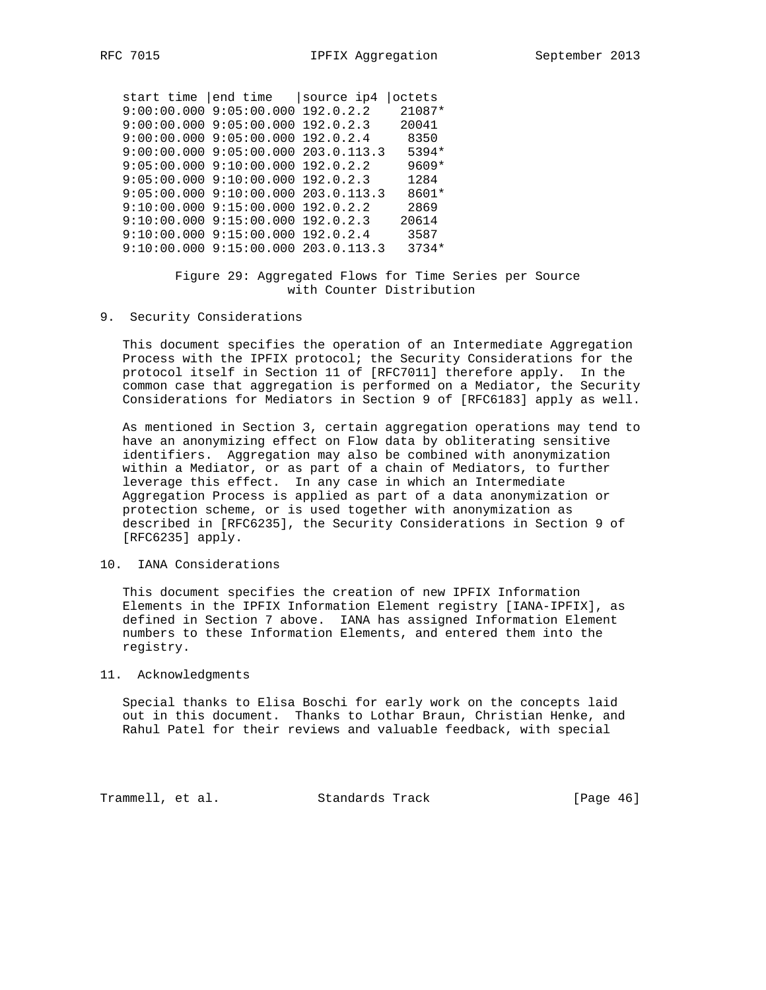start time |end time |source ip4 |octets 9:00:00.000 9:05:00.000 192.0.2.2 21087\* 9:00:00.000 9:05:00.000 192.0.2.3 20041 9:00:00.000 9:05:00.000 192.0.2.4 8350 9:00:00.000 9:05:00.000 203.0.113.3 5394\*  $9:05:00.000$   $9:10:00.000$   $192.0.2.2$   $9609*$ <br> $9:05:00.000$   $9:10:00.000$   $192.0.2.3$   $1284$ 9:05:00.000 9:10:00.000 192.0.2.3 9:05:00.000 9:10:00.000 203.0.113.3 8601\* 9:10:00.000 9:15:00.000 192.0.2.2 2869 9:10:00.000 9:15:00.000 192.0.2.3 20614 9:10:00.000 9:15:00.000 192.0.2.4 3587 9:10:00.000 9:15:00.000 203.0.113.3 3734\*

#### Figure 29: Aggregated Flows for Time Series per Source with Counter Distribution

9. Security Considerations

 This document specifies the operation of an Intermediate Aggregation Process with the IPFIX protocol; the Security Considerations for the protocol itself in Section 11 of [RFC7011] therefore apply. In the common case that aggregation is performed on a Mediator, the Security Considerations for Mediators in Section 9 of [RFC6183] apply as well.

 As mentioned in Section 3, certain aggregation operations may tend to have an anonymizing effect on Flow data by obliterating sensitive identifiers. Aggregation may also be combined with anonymization within a Mediator, or as part of a chain of Mediators, to further leverage this effect. In any case in which an Intermediate Aggregation Process is applied as part of a data anonymization or protection scheme, or is used together with anonymization as described in [RFC6235], the Security Considerations in Section 9 of [RFC6235] apply.

### 10. IANA Considerations

 This document specifies the creation of new IPFIX Information Elements in the IPFIX Information Element registry [IANA-IPFIX], as defined in Section 7 above. IANA has assigned Information Element numbers to these Information Elements, and entered them into the registry.

#### 11. Acknowledgments

 Special thanks to Elisa Boschi for early work on the concepts laid out in this document. Thanks to Lothar Braun, Christian Henke, and Rahul Patel for their reviews and valuable feedback, with special

Trammell, et al. Standards Track [Page 46]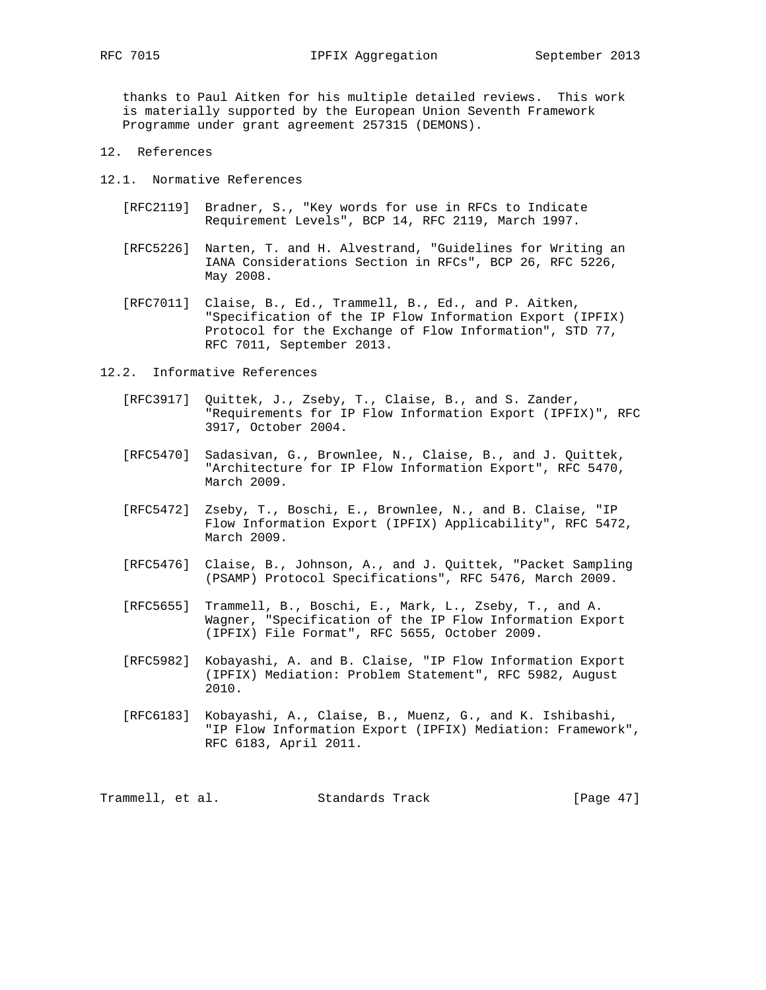thanks to Paul Aitken for his multiple detailed reviews. This work is materially supported by the European Union Seventh Framework Programme under grant agreement 257315 (DEMONS).

- 12. References
- 12.1. Normative References
	- [RFC2119] Bradner, S., "Key words for use in RFCs to Indicate Requirement Levels", BCP 14, RFC 2119, March 1997.
	- [RFC5226] Narten, T. and H. Alvestrand, "Guidelines for Writing an IANA Considerations Section in RFCs", BCP 26, RFC 5226, May 2008.
	- [RFC7011] Claise, B., Ed., Trammell, B., Ed., and P. Aitken, "Specification of the IP Flow Information Export (IPFIX) Protocol for the Exchange of Flow Information", STD 77, RFC 7011, September 2013.
- 12.2. Informative References
	- [RFC3917] Quittek, J., Zseby, T., Claise, B., and S. Zander, "Requirements for IP Flow Information Export (IPFIX)", RFC 3917, October 2004.
	- [RFC5470] Sadasivan, G., Brownlee, N., Claise, B., and J. Quittek, "Architecture for IP Flow Information Export", RFC 5470, March 2009.
	- [RFC5472] Zseby, T., Boschi, E., Brownlee, N., and B. Claise, "IP Flow Information Export (IPFIX) Applicability", RFC 5472, March 2009.
	- [RFC5476] Claise, B., Johnson, A., and J. Quittek, "Packet Sampling (PSAMP) Protocol Specifications", RFC 5476, March 2009.
	- [RFC5655] Trammell, B., Boschi, E., Mark, L., Zseby, T., and A. Wagner, "Specification of the IP Flow Information Export (IPFIX) File Format", RFC 5655, October 2009.
	- [RFC5982] Kobayashi, A. and B. Claise, "IP Flow Information Export (IPFIX) Mediation: Problem Statement", RFC 5982, August 2010.
	- [RFC6183] Kobayashi, A., Claise, B., Muenz, G., and K. Ishibashi, "IP Flow Information Export (IPFIX) Mediation: Framework", RFC 6183, April 2011.

Trammell, et al. Standards Track [Page 47]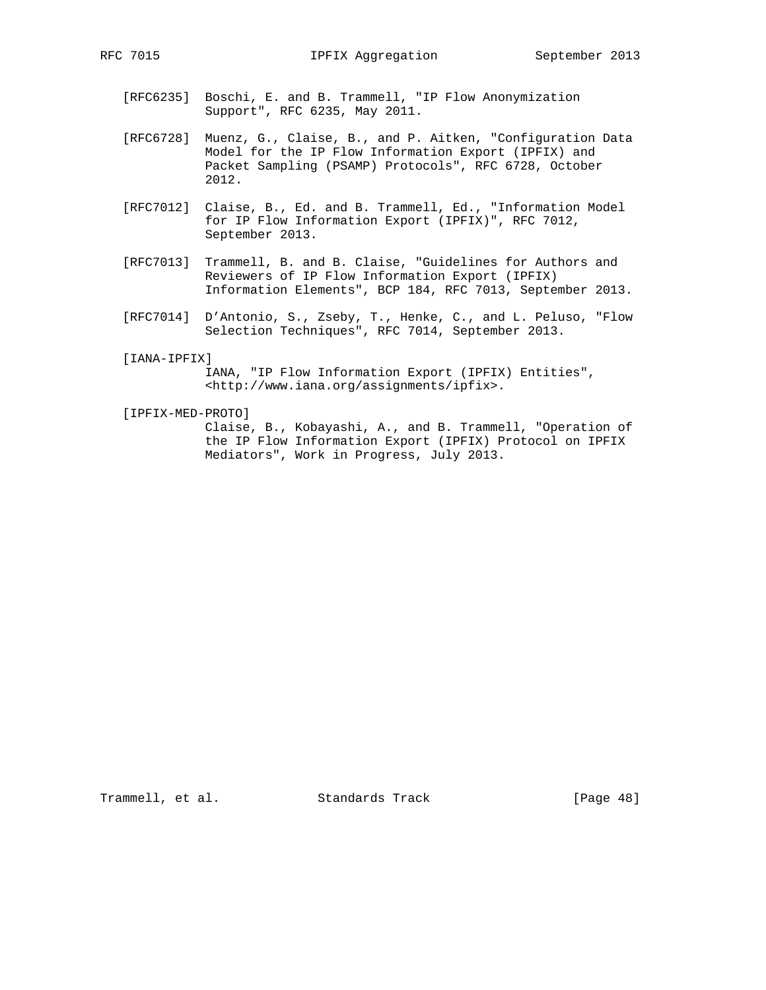- [RFC6235] Boschi, E. and B. Trammell, "IP Flow Anonymization Support", RFC 6235, May 2011.
- [RFC6728] Muenz, G., Claise, B., and P. Aitken, "Configuration Data Model for the IP Flow Information Export (IPFIX) and Packet Sampling (PSAMP) Protocols", RFC 6728, October 2012.
- [RFC7012] Claise, B., Ed. and B. Trammell, Ed., "Information Model for IP Flow Information Export (IPFIX)", RFC 7012, September 2013.
- [RFC7013] Trammell, B. and B. Claise, "Guidelines for Authors and Reviewers of IP Flow Information Export (IPFIX) Information Elements", BCP 184, RFC 7013, September 2013.
- [RFC7014] D'Antonio, S., Zseby, T., Henke, C., and L. Peluso, "Flow Selection Techniques", RFC 7014, September 2013.
- [IANA-IPFIX]

 IANA, "IP Flow Information Export (IPFIX) Entities", <http://www.iana.org/assignments/ipfix>.

[IPFIX-MED-PROTO]

 Claise, B., Kobayashi, A., and B. Trammell, "Operation of the IP Flow Information Export (IPFIX) Protocol on IPFIX Mediators", Work in Progress, July 2013.

Trammell, et al. Standards Track [Page 48]